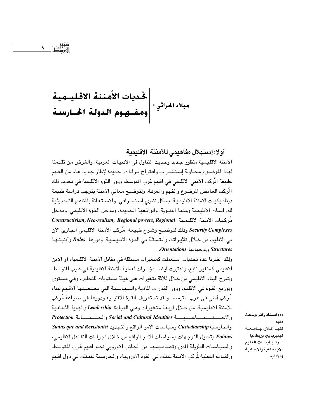# 

أولا: إستهلال مفاهيمي للأمننة الاقليمية

الأمننة الاقليمية منظور جديد وحديث التناول في الادبيات العربية. والغرض من تقدمنا لهذا الموضوع محاولة إستشراف واقتراح قراءات جديدة لإطار جديد عام من الفهم لطبيعة المُركب الأمنى الاقليمي في اقليم غرب المتوسط، ودور القوة الاقليمية في تحديد ذلك المُركب الغامض الموضوع والفهم والمعرفة. ولتوضيح معاني الامننة يتوجب دراسة طبيعة ديناميكيات الامننة الاقليمية، بشكل نظري استشرافي، والاستعانة بالمناهج التحديثية للدراسات الاقليمية ومنها البنيوية، والواقعية الجديدة، ومدخل القوة الاقليمي، ومدخل Constructivism, Neo-realism, Regional powers, Regional أركبات الامننة الاقليمية Security Complexes وذلك لتوضيح وشرح طبيعة ۖ مُركب الأمننة الاقليمي الجاري الان في الاقليم، من خلال تأثيراته، والمتمثلة في القوة الاقليمية، ودورها Roles وأبنيتها Orientations وتوحهاتها Orientations.

ولقد اخترنا عدة تحديات استعملت كمتغيرات مستقلة في مقابل الامننة الاقليمية، أو الأمن الاقليمي كمتغير تابع، واعتبرت ايضـا مؤشرات لعملية الامننة الاقليمية في غرب التوسط. وشرح البناء الاقليمي من خلال ثلاثة متغيرات على هيئة مستويات للتحليل، وهي مستوى وتوزيع القوة في الاقليم، ودور القدرات المادية والسياسية التي يحتضنها الاقليم لبناء مُركب أمنى في غرب المتوسط. ولقد تم تعريف القوة الاقليمية ودورها في صـيـاغة مُركب للامننة الاقليمية، من خلال أربعة متغيرات وهي القيادة Leadership والهوية الثقافية والحارسية Custodianship وسياسات الامر الواقع والتجديد Status que and Revisionist Politics وتحليل التوجهات وسياسات الامر الواقع من خلال اجراءات التفاعل الاقليمي، والسياسات الطويلة المدى وتصاميمها من الجانب الاوروبي نحو اقليم غرب المتوسط والقيادة الفعلية لُركب الامننة تمثلت في القوة الاوروبية، والحارسية فتمثلت في دول اقليم

(\*) استاذ زائر وباحث مقيم. كلية كلار، جامعة كيمبريديج، بريطانيا. مـركــز أبـصــاث العلوم الاجتماعيةوالانسانية والاداب.

تقوی<br>گویس<del>ط</del> ۹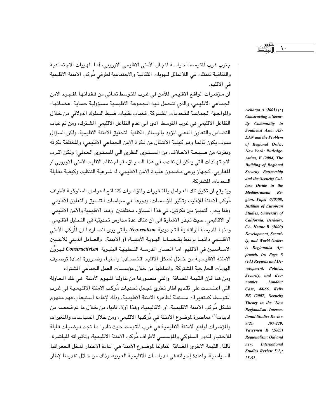جنوب غرب المتوسط لحراسة المجال الأمنى الاقليمي الاوروبي، أما الهويات الاجتماعية والثقافية فتمثلت فى اللاتماثل للهويات الثقافية والاجتماعية لطرفى مُركب الامننة الاقليمية في الاقليم.

ان مؤشرات الواقع الاقليمي للأمن في غرب المتوسط تعاني من فـقدانـها لمفـهـوم الامن الجماعي الاقليمي، والذي تتحمل فيه المجموعة الاقليمية مسؤولية حماية اعضائها، والمواجهة الجماعية للتحديات المشتركة. فغياب تقنيات ضبط السلوك الدولاتي من خلال التفاعل الاقليمي في غرب المتوسط أدى الى عدم التفاعل الاقليمي الشترك، ومن ثم غياب التضامن والتعاون الفعلى المزود بالوسائل الكافية لتحقيق الامننة الاقليمية. ولكن السؤال سوف يكون قائما وهو كيفية الانتقال من فكرة الامن الجماعي الاقليمي، والمختلفة فكرته ونظرته من صيغة الاحلاف، من المستوى النظري الى المستوى العملي؟ ولكن أقرب الاجـتـهـادات التي يمكن ان تقـدم، في هذا السـيـاق، قيـام نظام الاقليم الأمنى الاوروبي / المغاربي، كجهاز يرعى مضمون عقيدة الامن الاقليمي، له شرعية التنظيم، وكيفية مقابلة التحديات الشتركة.

ويتوقع ان تكون تلك العوامل والمتغيرات والمؤشرات كنتائج للعوامل السلوكية لأطراف مَركب الامننة للإقليم، وتأثير المؤسسات، ودورها في سياسات التنسيق والتعاون الاقليمي. وهنا يجب التمييز بين فكرتين، في هذا السياق، مختلفتين وهما الاقليمية والأمن الاقليمي، أو الاقاليمي. حيث تجدر الاشارة الى أن هناك عدة مدارس تحديثية في التحليل الاقليمي، ومنهـا المدرسـة الواقـعـيـة التـجـديدية Neo-realism والتي يرى انصـارهـا ان المُركب الأمني الاقليمي دائما يرتبط بقضايا الهوية الأمنية، أو الامننة، والعامل الديني للاعبين الاساسيين في الاقليم. اما انصار المدرسة التحليلية البنيوية Constructivism فيرَوْن الامننة الاقليمية من خلال تشكل الاقليم اقتصاديا وامنيا، وضرورة اعادة توصيف الهويات الخارجية الشتركة، وأنماطها من خلال مؤسسات العمل الجماعي الشترك. ومن هنا فإن القيمة المضافة والتي نتصورها من تناولنا لمفهوم الأمننة هي تلك المحاولة التي اعتمدت على تقديم اطار نظري لمجمل تحديات مُركب الامننة الاقليمية في غرب التوسط، كمتغيرات مستقلة لظاهرة الامننة الاقليمية، وذلك لإعادة استيعاب فهم مفهوم تشكل مُركب الامننة الاقليمية، أو الاقاليمية، وهذا أولا. ثانيا، من خلال ما تم فحصـه من ادبيات'') معاصرة لموضوع الامننة في مُركبها الاقليمي، ومن خلال السياسات والمتغيرات

والمؤشرات لواقع الامننة الاقليمية في غرب المتوسط حيث نادرا ما نجد فرضيات قابلة للاختبار للدور السلوكي والمؤسسي لأطراف مُركب الامننة الاقليمية، وتأثيراته المباشرة. ثالثا، القيمة الاخرى المضافة لتناولنا لموضوع الأمننة هي اعادة الاعتبار لدخل الجغرافيا السياسية، واعادة إحيائه في الدراسات الاقليمية العربية، وذلك من خلال تقديمنا لإطار

Acharya A (2001) (\) **Constructing a Secur**ity Community in Southeast Asia: AS-**EAN** and the Problem of Regional Order. New York: Rutledge. Attina, F (2004) The **Building of Regional** Security Partnership and the Security Culture Divide in the Mediterranean Region. Paper 040508, **Institute of European** Studies, University of California, Berkeley, CA. Hettne B. (2000) Development, Security, and World Order: A Regionalist Approach. In: Page S (ed.) Regions and Development: Politics, Security, and Economics. London: Cass, 44-66. Kelly RE (2007) Security Theory in the 'New Regionalism'. International Studies Review  $9(2)$ : 197-229. Väyrynen R (2003) Regionalism: Old and **International** new. Studies Review 5(1):  $25 - 51$ .

 $\lambda$ .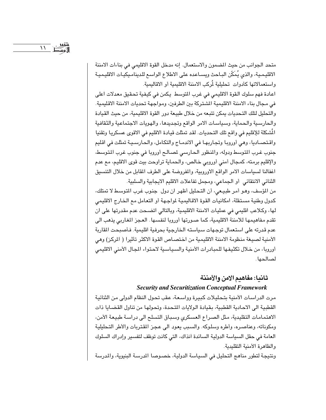متحد الجوانب من حيث المصمون والاستعمال. إنه مدخل القوة الاقليمي في بناءات الامننة الاقليمية، والذي يُمَكِّن البـاحث ويسـاعده على الاطلاع الواسع للدينامـيكيـات الاقليميـة واستعمالاتها كأدوات تحليلية لمُركب الامننة الاقليمية أو الاقاليمية.

اعادة فهم سلوك القوة الاقليمي في غرب المتوسط يكمن في كيفية تحقيق معدلات اعلى في مجال بناء الامننة الاقليمية الشتركة بين الطرفين، ومواجهة تحديات الامننة الاقليمية. والتحليل لتلك التحديات يمكن تتبعه من خلال طبيعة دور القوة الاقليمية، من حيث القيادة والحارسية والحماية، وسياسات الامر الواقع وتجديدها، والهويات الاجتماعية والثقافية الْمَشكلة للإقليم في واقع تلك التـحديات. لقد تمثلت قيادة الاقليم في الاقوى عسكريـا وتقنيا واقتصـاديا، وهي أوروبا وتجاربهـا في الاندمـاج والتكامل، والحـارسـيـة تمثلت في اقليم جنوب غرب المتوسط ودوله، والمنظور الحارسي لمصالح أوروبا في جنوب غرب المتوسط، والإقليم برمته، كمجال أمني أوروبي خالص، والحماية تراوحت بيت قوى الاقليم، مع عدم اغفالنا لسياسات الامر الواقع الاوروبية، والمفروضة على الطرف المقابل من خلال التنسيق الثنائي الانتقائي أو الجماعي، ومجمل تفاعلات الاقليم الايجابية والسلبية.

من المؤسف، وهـو أمـر طبيـعي، أن التـحليل أظهر ان دول جنوب غرب المتوسط لا تمتلك، كدول وطنية مستقلة، امكانيات القوة الاقاليمية لمواجهة أو التعامل مع الخارج الاقليمي لها، وكلاعب اقليمي في عمليات الامننة الاقليمية، وبالتالي اتضـحت عدم مقدرتها على ان تقدم مفاهيمها للامننة الاقليمية، كما صورتها أوروبا لنفسها. العجز المغاربي يذهب الى عدم قدرته على استعمال توجهات سياسته الخارجية بحرفية اقليمية. فأصبحت المقاربة الأمنية لصيغة منظومة الامننة الاقليمية من اختصـاص القوة الاكثر تأثيرا ( المركز) وهي أوروبا، من خلال تكثيفها للمبادرات الأمنية والسياسية لاحتواء المجال الأمنى الاقليمي لصالحها.

# ثانيا: مفاهيم الامن والأمننة

## **Security and Securitization Conceptual Framework**

مرت الدراسـات الأمنية بتـحليـلات كبيرة وواسـعة، عقب تحول النظام الدولي من الثنائية القطبية الى الاحادية القطبية، بقيادة الولايات المتحدة، وتحولها من تناول القضايا ذات الاهتمامات التقليدية، مثل الصراع العسكري وسباق التسلح الى دراسة طبيعة الأمن، ومكوناته، وعناصره، وأطره وسلوكه. والسبب يعود الى عجز المقتربات والأطر التحليلية العامة في حقل السياسة الدولية السائدة أنذاك، التي كانت توظف لتفسير وإدراك السلوك والظاهرة الأمنية التقليدية.

ونتيجة لتطور مناهج التحليل في السياسة الدولية، خصـوصـا الدرسـة البنيوية، والمدرسة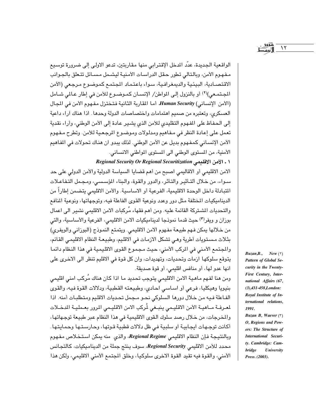الواقعية الجديدة، عدّد الدخل الإقترابي منها مقاريتين، تدعو الاولي إلى ضرورة توسيع مـفـهـوم الأمن، وبالتالي تطور حقل الدراسـات الأمنيـة ليشـمل مـسـائل تتـعلق بالجـوانب الاقتصـادية، البيئية والديمغرافـية، سـواء باعتمـاد المجتمـع كموضـوع مـرجعي (الأمن المجتمعي)(٢) أو بالنزول إلى المواطن/ الإنسان كموضوع للأمن في إطار عالمي شامل (الأمن الإنساني) Human Security. أما المقاربة الثانية فتختزل مفهوم الأمن في المجال العسكري، وتعتبره من صميم اهتمامات واختصاصات الدولة وحدها. اذا هناك أراء داعية إلى الحفاظ على المفهوم التقليدي للأمن الذي يشير عادة إلى الأمن الوطني، وأراء نقدية تعمل على إعادة النظر في مفاهيم ومدلولات وموضوع المرجعية للأمن. وتطرح مفهوم الأمن الإنسـاني كمـفـهوم بديل عن الأمن الوطني. لذلك يبدو ان هنـاك تحـولات في المفـاهيم الأمنية، من المستوى الوطني الى المستوى المواطني الانساني.

١ ـ الأمن الاقليمي Regional Security Or Regional Securitization

الامن الاقليمي أو الاقاليمي اصبح من أهم قضايا السياسة الدولية والأمن الدولي على حد سىواء، من خلال ألتـأثيـر والتأثر، والدور والقوة، والبناء المؤسسـى، ومـجـمل التـفـاعـلات المتبادلة داخل الوحدة الاقليمية، الفرعية أو الاساسية. والأمن الاقليمي يتضمن إطاراً من الديناميكيات المختلفة مثل دور وعدد ونوعية القوى الفاعلة فيه، وتوجهاتها، ونوعية المنافع والتحديات الشـتركة القائمة عليه. ومن أهم فقهاء مُركبات الامن الاقليمي نشير الى اعمال بوزان و ويفرٍ(٣) حيث قدما نموذجا لديناميكيات الامن الاقليمي، الفرعية والأساسية، والتي من خلالها يمكن فـهم طبيعة مفـهوم الامن الاقليمي. ويتمتع النمـوذج (البوزاني والويفري) بثلاث مستويات أطرية وهي تشكل الازمات في الاقليم، وطبيعة النظام الاقليمي القائم، والمجتمع الأمني في المركب الأمني، حيث مجموع القوى الاقليمية في هذا النظام دائما يتوقع سلوكها ازمات وتحديات، وتهديدات، وان كل قوة في الاقليم تنظر الى الاخرى على انها عدو لها، أو منافس اقليمي، أو قوة صديقة.

ومن هنا لفهم ماهية الامن الاقليمي يتوجب تحديد ما اذا كان هناك مُركب امنى اقليمي بنيويا وهيكليا، فرعي أو اسـاسـي احـادي، وطبيعته القطبية، ودلالات القوة فيه، والقوى الفاعلة فيه من خلال دورها السلوكي نحو مجمل تحديات الاقليم ومتطلبات أمنه. اذا لمعرفة مـاهيـة الأمن الاقليـمي ينبـغي لُركب الامن الاقليـمي المرور بعـمليـة المدخـلات والخرجات، من خلال رصد سلوك القوى الاقليمية في هذا النظام عبر طبيعة توجهاتها، أكانت توجهات ايجابية او سلبية في ظل دلالات قطبية قوتها، وحارستها وحمايتها. وبالنتيجة فإن النظام الاقليمي Regional Regime، والذي منه يمكن استخلاص مفهوم محدد للأمن الاقليمي Regional Security، سوف ينتج جملة من الديناميكيات، كالتجانس الأمني، والقوة فيه تقيد القوة الاخرى سلوكيا، وخلق المجتمع الأمني الاقليمي، ولكن هذا

 $Buzan,B.,$  New  $(7)$ Pattern of Global Security in the Twenty-First Century, International Affairs (67,  $(3), 431 - 458, London:$ Royal Institute of International relations, 1991.

 $\gamma$ 

Buzan B, Waever (\*) O, Regions and Powers: The Structure of International Security. Cambridge: Cam-University **bridge** Press. (2003).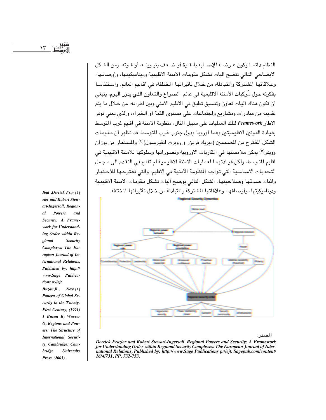النظام دائمـا يكون عـرضــة للإصــابة بالـقـوة أو ضـعف بنيـويتــه، أو قـوته. ومن الشكل الايضاحي التالي تتضح أليات تشكل مقومات الامننة الاقليمية وديناميكيتها، وأوصافها، وعلاقاتها المشتركة والمتبادلة، من خلال تأثيراتها المختلفة، في أقاليم العالم. واستئناسا بفكرته حول مُركبات الأمننة الاقليمية في عالم الصراع والتعاون الذي يدور اليوم، ينبغي أن تكون هناك اليات تعاون وتنسيق تطبق في الاقليم الأمني وبين اطرافه، من خلال ما يتم تقديمه من مبادرات ومشاريع واجتماعات على مستوى القمة أو الخبراء، والذي يعني توفر الاطار Framework لتلك العمليات على سبيل المثال، منظومة الامننة في اقليم غرب المتوسط بقيادة القوتين الاقليميتين وهما أوروبا ودول جنوب غرب المتوسط، قد تظهر أن مقومات الشكل المقترح من المصممين (ديريك فريزر و روبرت انقيرسول)(٤) والمستعار من بوزان وويفر<sup>(0</sup>) يمكن ملامستها في المقاربات الاوروبية وتصوراتها وسلوكها للامننة الاقليمية في اقليم المتوسط، ولكن قيـادتهمـا لعمليـات الامننة الاقليـمـيـة لم تفلـح في التـقدم الـي مـجمل التحديات الاسـاسـية التي تواجه المنظومة الأمنية في الاقليم، والتي نـقترحـهـا للاخـتبـار واثبات صدقها وصلاحيتها الشكل التالي يوضح أليات تشكل مقومات الامننة الاقليمية وديناميكيتها، وأوصافها، وعلاقاتها المشتركة والمتبادلة من خلال تأثيراتها المختلفة.



المصدر:

Derrick Frazier and Robert Stewart-Ingersoll, Regional Powers and Security: A Framework for Understanding Order within Regional Security Complexes: The European Journal of International Relations, Published by: http://www.Sage Publications p://ejt. Sagepub.com/content/ 16/4/731, PP. 732-753.

*Ibid ,Derrick Fra-*  $(2)$ zier and Robert Stewart-Ingersoll, Regional **Powers** and Security: A Framework for Understanding Order within Regional Security Complexes: The European Journal of International Relations, Published by: http:// www.Sage Publications p://ejt. Buzan, B., New ( $\circ$ ) Pattern of Global Se-

curity in the Twenty-First Century, (1991) 1 Buzan B, Waever O, Regions and Powers: The Structure of International Security. Cambridge: Cam**bridge** University Press. (2003).

 $\lambda \tau$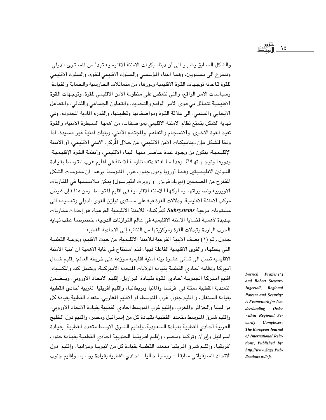والشكل السـابق يشـيـر الى أن دينامـيكيـات الامننة الاقليمـية تبدأ من المسـتـوى الدولى، وتتفرع الى مستويين، وهما البناء المؤسسي والسلوك الاقليمي للقوة. والسلوك الاقليمي للقوة قاعدته توجهات القوة الاقليمية ودورها، من متماثلات الحارسية والحماية والقيادة، وسياسات الامر الواقع، والتي تنعكس على منظومة الأمن الاقليمي للقوة. وتوجهات القوة الاقليمية تتماثل في قوى الامر الواقع والتجديد، والتعاون الجماعي والثنائي، والتفاعل الايجابي والسلبي، الى علاقة القوة ومواصفاتها وقطبيتها، والقدرة المادية المحدودة. وفي نهاية الشكل يتمتع نظام الامننة الاقليمي بمواصفات، من أهمها السيطرة الأمنية، والقوة تقيد القوة الاخرى، والانسجام والتفاهم، والمجتمع الأمنى، وبنيات أمنية غير مشيدة. اذا وفقا للشكل فإن ديناميكيات الامن الاقليمي، من خلال المُركب الأمنى الاقليمي، أو ألامننة الإقليمية، يتكون من وجـود عـدة عناصـر منها البناء الاقليمـي، وأنظمة الـقوة الإقليميـة، ودورها وتوجهاتهالًا). وهذا ما افتقدته منظومة الامننة في اقليم غرب المتوسط بقيادة القوتين الاقليميتين وهما أوروبا ودول جنوب غرب المتوسط برغم أن مقومات الشكل المقترح من المصممين (ديريك فريزر و روبرت انقيرسـول) يمكن مـلامسـتـها في المقاربات الاوروبية وتصوراتها وسلوكها للامننة الاقليمية في اقليم المتوسط ومن هنا فإن غرض مركب الامننة الاقليمية، ودلالات القوة فيه على مستوى توازن القوى الدولي وتقسيمه الى مستويات فرعية Subsystems كمُركبات للامننة الاقليمية الفرعية، هو إحداث مقاربات جديدة لأهمية قضايا الامننة الاقليمية في عالم التوازنات الدولية، خصوصا عقب نهاية الحرب الباردة وتبدلات القوة ومركزيتها من الثنائية إلى الاحادبة القطبية.

جدول رقم (١) يصف الابنية الفرعية لـلامننة الاقليمية، من حيث الاقليم، ونوعية القطبية التي يحتلها، والقوى الاقليمية الفاعلة فيها. فتم استنتاج في غاية الاهمية ان أبنية الامننة الاقليمية تصل الى ثماني عشرة بيئة أمنية اقليمية موزعة على خريطة العالم: إقليم شمال أميركا ونظامه أحادي القطبية بقيادة الولايات المتحدة الأميركية، ويشمل كند والمكسبك، اقليم أميركا الجنوبية أحادى القوة بقيادة البرازيل، إقليم الاتحاد الاوروبي، ويتضمن التعددية القطبية ممثلة فى فرنسا وألمانيا وبريطانيا، وإقليم أفريقيا الغربية أحادى القطبية بقيادة السنغال، و اقليم جنوب غرب المتوسط، أو الاقليم المغاربي، متعدد القطبية بقيادة كل من ليبيا والجزائر والمغرب، وإقليم غرب المتوسط احادي القطبية بقيادة الاتحاد الاوروبي، وإقليم شرق المتوسط متعدد القطبية بقيادة كل من إسرائيل ومصر، وإقليم دول الخليج العربية أحادي القطبية بقيادة السعودية، وإقليم الشرق الاوسط متعدد القطبية بقيادة اسرائيل وإيران وتركيا ومصر، وإقليم افريقيا الجنوبية أحادى القطبية بقيادة جنوب أفريقيا، وإقليم شـرق أفريقيا متـعدد القطبية بقيادة كل من أثيوبيا وتنزانيا، وإقليم دول الاتحاد السوفياتي سابقا – روسيا حاليا ـ احادى القطبية بقيادة روسيا، وإقليم جنوب

Derrick Frazier  $(1)$ and Robert Stewart-Ingersoll, Regional Powers and Security: A Framework for Understanding **Order** within Regional Security Complexes: The European Journal of International Relations, Published by: http://www.Sage Publications p://ejt.

 $\lambda$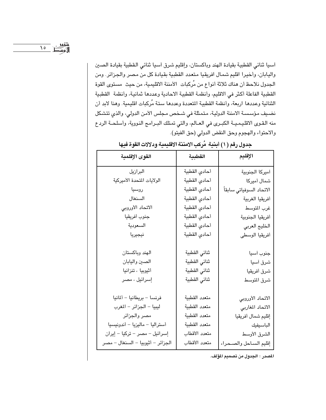أسيا ثنائي القطبية بقيادة الهند وباكستان، وإقليم شرق أسيا ثنائي القطبية بقيادة الصين واليابان، وأخيرا اقليم شمال افريقيا متعدد القطبية بقيادة كل من مصر والجزائر. ومن الجدول نلاحظ أن هناك ثلاثة أنواع من مُركبات الأمننة الاقليمية، من حيث مستوى القوة القطبية الفاعلة أكثر في الاقليم، وأنظمة القطبية الاحادية وعددها ثمانية، وأنظمة القطبية الثنائية وعددها اربعة، وأنظمة القطبية المتعددة وعددها ستة مُركبات اقليمية. وهنا لابد أن نضيف مؤسسة الامننة الدولية، متمثلة في شـخص مـجلس الأمن الدولي، والذي تتشكل منه القـوى الاقلـيـمـيــة الكبـرى في العــالم، والتي تمـتلك البــرامـج النـووية، وأسـلحــة الردع والاحتواء والهجوم وحق النقض الدولي (حق الفيتو).

| القوى الإقلمية                    | القطبية       | الإقليم                 |  |
|-----------------------------------|---------------|-------------------------|--|
| البرازيل                          | أحادي القطبية | أميركا الجنوبية         |  |
| الولايات المتحدة الأميركية        | أحادى القطبية | شمال أميركا             |  |
| روسيا                             | أحادى القطبية | الاتحاد السوفياتي سابقأ |  |
| السنغال                           | أحادى القطبية | أفريقيا الغربية         |  |
| الاتحاد الأوروبي                  | أحادى القطبية | غرب المتوسط             |  |
| جنوب أفريقيا                      | أحادى القطبية | أفريقيا الجنوبية        |  |
| السعودية                          | أحادي القطبية | الخليج العربى           |  |
| نيجيريا                           | أحادى القطبية | أفريقيا الوسطى          |  |
|                                   |               |                         |  |
| الهند وباكستان                    | ثنائى القطبية | جنوب أسيا               |  |
| الصين واليابان                    | ثنائى القطبية | شرق آسيا                |  |
| أثيوبيا ، تنزانيا                 | ثنائي القطبية | شرق أفريقيا             |  |
| إسرائيل ، مصر                     | ثنائى القطبية | شرق المتوسط             |  |
|                                   |               |                         |  |
| فرنسا - بريطانيا - ألمانيا        | متعدد القطبية | الاتحاد الأوروبي        |  |
| ليبيا - الجزائر - المغرب          | متعدد القطبية | الاتحاد المغاربي        |  |
| مصر والجزائر                      | متعدد القطبية | إقليم شمال أفريقيا      |  |
| أستراليا - ماليزيا - أندونيسيا    | متعدد القطبية | الباسيفيك               |  |
| إسرائيل – مصر – تركيا – إيران     | متعدد الأقطاب | الشرق الأوسط            |  |
| الجزائر - أثيوبيا - السنغال - مصر | متعدد الأقطاب | إقليم الساحل والصحراء   |  |

جدول رقم ( ۱) أبنية مُركب الامننة الاقليمية ودلالات القوة فيها

المصدر : الجدول من تصميم المؤلف.

سعود - ۱۵<br>ا}وبسط - ۱۵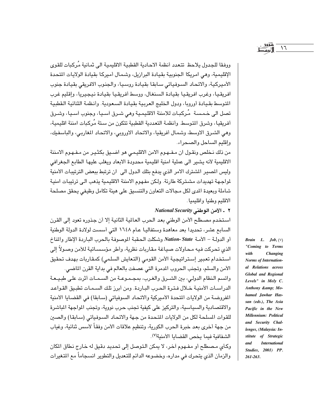ووفقا للحدول بلاحظ تتعدد أنظمة الاحادية القطبية الاقليمية الى ثمانية مُركبات للقوى الإقليمية، وهي امريكا الجنوبية بقيادة البرازيل، وشمال أميركا بقيادة الولايات المتحدة الأميركية، والاتحاد السوفياتي سابقا بقيادة روسيا، والجنوب الافريقي بقيادة جنوب افريقيا، وغرب افريقيا بقيادة السنغال، ووسط أفريقيا بقيادة نيجيريا، وإقليم غرب المتوسط بقيادة أوروبا، ودول الخليج العربية بقيادة السعودية. وأنظمة الثنائية القطبية تصل الى خـمـسـة مُـركبـات للامننة الاقليمـية وهى شـرق اَسـيـا، وجنوب اَسـيـا، وشـرق أفريقيا، وشرق المتوسط. وأنظمة التعددية القطبية تتكون من ستة مُركبات امننة اقليمية، وهي الشرق الاوسط، وشمال أفريقيا، والاتحاد الاوروبي، والاتحاد المغاربي، والباسفيك، وإقليم الساحل والصحراء.

من ذلك نخلص ونقول ان مفهوم الامن الاقليمي هو اضيق بكثير من مفهوم الامننة الاقليمية لأنه يشير الى عملية امنية اقليمية محدودة الابعاد ويغلب عليها الطابع الجغرافي وليس المصير المشترك الامر الذي يدفع بتلك الدول الى ان ترتبط ببعض الترتيبات الأمنية لمواجهة تهديدات مشتركة طارئة. ولكن مفهوم الامننة الاقليمية يذهب الى ترتيبات امنية شاملة وبعيدة المدى لكل مجالات التعاون والتنسيق على هيئة تكامل وظيفي يحقق مصلحة الاقليم وطنيا واقليميا .

National Security [130] - الأمن الوطني

استخدم مصطلح الأمن الوطني بعد الحرب العالمية الثانية إلا أن جذوره تعود إلى القرن السابع عشر، تحديدا بعد معاهدة وستفاليا عـام ١٦٤٨ التي أسست لولادة الدولة الوطنية أو الدولـة – الأمـة Nation- State وشكلت الحقبة الموصوفة بالحرب البـاردة الإطار والمناخ الذي تحركت فيه محاولات صياغة مقاربات نظرية، وأطر مؤسساتية للأمن وصولاً إلى استخدام تعبير إستراتيجية الأمن القومى (التعايش السلمى) كمقاربات بهدف تحقيق الأمن والسلم، وتجنب الحروب المدرة التي عصفت بالعالم في بداية القرن الماضي. واتسم النظام الدولي، بين الشـرق والغرب، بمجـمـوعـة من السـمـات أثرت علـى طبـيـعـة الدراسـات الأمنيـة خـلال فـتـرة الـحـرب البـاردة. ومن أبرز تلك السـمـات تطبـيق القـواعـد المفروضة من الولايات المتحدة الأميركية والاتحاد السوفياتي (سابقا) في القضايا الأمنية والاقتصادية والسياسية، والتركيز على كيفية تجنب حرب نووية، وتجنب المواجهة الماشرة للقوات المسلحة لكل من الولايات المتحدة من جهة والاتحاد السوفياتي (سابقا) والصين من جهة أخرى بعد خبرة الحرب الكورية، وتنظيم علاقات الأمن وفقاً لأسس ثنائية، وغياب الشفافية فيما يخص القضايا الأمنية<sup>(٧)</sup>.

وكأى مصطلح أو مفـهوم آخر، لا يمكن التوصل إلى تحديد دقيق له خارج نطاق المكان والزمان الذي يتحرك في مداره، وخضوعه الدائم للتعديل والتطوير انسجاماً مع المتغيرات

Brain L.  $Job, (\vee)$ "Coming to Terms with Changing **Norms of Internation**al Relations across **Global and Regional** Levels" in Mely C. Anthony & Mohamed Jawhar Hassan (eds.), The Asia Pacific in the New Millennium: Political and Security Challenges, (Malaysia: Institute of Strategic **International** and Studies, 2001) PP. 261-263.

 $\mathcal{M}$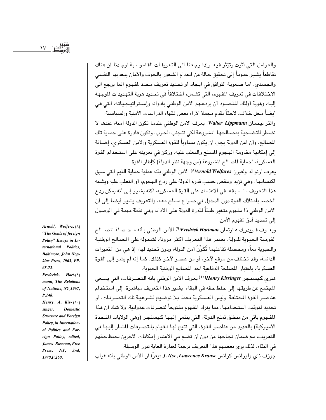والعوامل التي أثرت وتؤثر فيه. وإذا رجعنا الى التعريفات القاموسية لوجدنا ان هناك تقاطعاً يشير عموماً إلى تحقيق حالة من انعدام الشعور بالخوف والأمان ببعديها النفسي والجسدي. أما صعوبة التوافق في ايجاد أو تحديد تعريف محدد لمفهوم انما يرجع الي الاختلافات في تعريف الفهوم، التي تشمل، اختلافاً في تحديد هوية التهديدات الموجهة إليـه، وهوية أولئك المقصـود أن يردعـهم الأمن الوطنـى بأدواته وإسـتراتيـجـياتـه، التي هي أيضاً محل خلاف. لاحقاً نقدم مجملا لآراء بعض فقهاء الدراسات الأمنية والسياسية:

والتر ليبمان Walter Lippmann: يعرف الامن الوطني عندما تكون الدولة أمنة، عندها لا تضطر للتضحية بمصالحها الشروعة لكى تتجنب الحرب، وتكون قادرة على حماية تلك المصالح، وأن أمن الدولة يجب أن يكون مساوياً للقوة العسكرية والأمن العسكري، إضـافة إلى إمكانية مقاومة الهجوم المسلح والتغلب عليه. وركز في تعريفه على استخدام القوة العسكرية، لحماية المصالح الشروعة (من وجهة نظر الدولة) كإطار للقوة .

يعرف أرنو لد ولفيرز Arnold Welfares(1) الأمن الوطني بأنه عملية حماية القيم التي سبق اكتسابها. وهي تزيد وتنقص حسب قدرة الدولة على ردع الهجوم، أو التغلب عليه ويشبه هذا التعريف ما سبقه، في الاعتماد على القوة العسكرية، لكنه يشير إلى أنه يمكن ردع الخصم بامتلاك القوة دون الدخول في صراع مسلح معه، والتعريف يشير أيضا إلى أن الأمن الوطني ذا مفهوم متغير طبقاً لقدرة الدولة على الأداء، وهي نقطة مهمة في الوصول إلى تحديد أدق لمفهوم الأمن.

ويعــرف فــريدريك هــارتمـان Fredrick Hartman(٩) الأمن الـوطني بـأنه مــحـصـلـة المصـــالـح القومية الحيوية للدولة. يعتبر هذا التعريف أكثر مرونة، لشموله على المصالح الوطنية والحيوية معاً، ومحصلة تفاعلهما تُكَوِّنُ أمن الدولة، ودون تحديد لها، إذ هي من التغيرات الدائمة، وقد تختلف من موقع لآخر، أو من عصر لآخر كذلك. كما إنه لم يشر إلى القوة العسكرية، باعتبار المسلحة الدفاعية أحد المصالح الوطنية الحيوية.

هنري كيسنجر Henry Kissinger) يعرف الامن الوطني بأنه التصرفات، التي يسعى المجتمع عن طريقها إلى حفظ حقه في البقاء. يشير هذا التعريف مباشرة، إلى استخدام عناصـر القوة المختلفة، وليس العسكرية فـقط، بلا توضيح لشـرعيـة تلك التصـرفات، أو تحديد لتوقيت استخدامها، مما يترك المفهوم مفتوحاً لتصرفات عدوانية. ولا شك أن هذا المفهوم يأتي من منطلق تمتع الدولة، التي ينتمي إليها كيسنجر (وهي الولايات المتحدة الأميركية) بالعديد من عناصر القوة، التي تتيح لها القيام بالتصرفات الشار إليها في التعريف، مع ضمان نجاحها من دون أن تضع في الاعتبار إمكانات الآخرين لحفظ حقهم في البقاء. لذلك يرى بعضهم هذا التعريف ترجمة لعبارة الغاية تبرر الوسيلة.

جوزف ناي ولورانس كرانس J. Nye, Lawrence Kranse «يعرّفان الأمن الوطني بأنه غياب

Arnold, Wolfers, (A) "The Goals of foreign Policy" Essays in International Politics, Baltimore, John Hopkins Press, 1963, PP.  $65 - 72.$ Frederick, Hart- $(9)$ mann, The Relations of Nations, NY,1967, P.148. Henry. A. Kis- $(\cdot)$ . singer, **Domestic Structure and Foreign** Policy, in International Politics and Foreign Policy, edited, James Rosenau, Free

Press, NY, 3nd,

1970.P.260.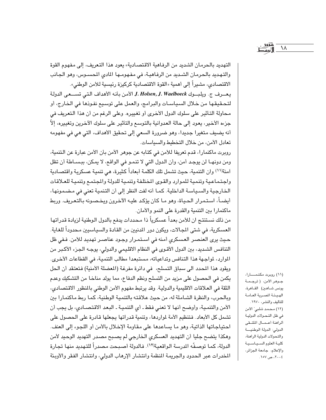التهديد بالحرمان الشديد من الرفاهية الاقتصادية» يعود هذا التعريف، إلى مفهوم القوة والتهديد بالحرمان الشديد من الرفاهية، في مفهومها المادي المحسوس، وهو الجانب الاقتصادي، مشيراً إلى أهمية «القوة الاقتصادية كركيزة رئيسية للأمن الوطني». يعرف ج. ويلبوك J. Holsen, J. Waelboeck الأمن بأنه الأهداف التي تستعي الدولة لتحقيقها من خلال السياسات والبرامج، والعمل على توسيع نفوذها في الخارج، أو محاولة التأثير على سلوك الدول الأخرى أو تغييره. وعلى الرغم من أن هذا التعريف في جزءه الأخير، يعود إلى حالة العدوانية بالتوسع والتأثير على سلوك الآخرين وتغييره، إلاّ أنه يضيف متغيرا جديدا، وهو ضرورة السعي إلى تحقيق الأهداف، التي هي في مفهومه تعادل الأمن، من خلال التخطيط والسياسات.

روبرت ماكنمارا، قدم تعريفا للأمن في كتابه عن جوهر الأمن بأن الأمن عبارة عن التنمية، ومن دونهـا لن يوجد أمن، وأن الدول التي لا تنمـو في الواقع، لا يمكن، ببسـاطة أن تظل آمنة(١١) وان التنمية، حيث تشمل تلك الكلمة أبعاداً كثيرة، هي تنمية عسكرية واقتصادية واجتماعية وتنمية للموارد والقوى المختلفة وتنمية للدولة والجتمع وتنمية للعلاقات الخارجية والسياسة الداخلية. كما أنه لفت النظر إلى أن التنمية تعني في مضمونها، أيضـاً، استمرار الحياة، وهو مـا كان يؤكد عليـه الآخرون ويخصـونه بالتعريف. وربط ماكنمارا بين التنمية والقدرة على النمو والأمان.

من ذلك نستنتج ان للأمن بعداً عسكرياً ذا محددات يدفع بالدول الوطنية لزيادة قدراتها العسكرية، في شتى المجالات، ويكون دور الدنيين من القادة والسياسيين محدوداً للغاية. حيث يرى العنصر العسكرى أمنه في استمرار وجود عناصر تهديد للأمن. ففي ظل التنافس الشديد، بين الدول الأقـوى في النظام الاقليمي والدولي، يوجـه الجزء الأكبر من الموارد، لمواجهة هذا التنافس وتداعياته، مستبعدا مطالب التنمية، في القطاعات الأخرى. ويقود هذا المحدد الى سباق التسلح، في دائرة مفرغة (المضلة الأمنية) فتعتقد أن الحل يكمن في الحصول على مزيد من التسلح ونظم الدفاع، مما يولد مناخا من التشكيك وعدم الثقة في العلاقات الاقليمية والدولية. وقد يرتبط مفهوم الأمن الوطني بالمنظور الاقتصادي، وبالحرب، والنظرة الشاملة له، من حيث علاقته بالتنمية الوطنية، كما ربط ماكنمارا بين الأمن والتنمية، وأوضح أنها لا تعني فقط ـ أي التنمية ـ البعد الاقتصادي، بل يجب أن تشمل كل الأبعاد. فتنظيم الأمة لمواردها، وتنمية قدراتها يجعلها قادرة على الحصول على احتياجاتها الذاتية، وهو ما يساعدها على مقاومة الإخلال بالأمن أو اللجوء إلى العنف. وهكذا يتضح جليا أن التهديد العسكري الخارجي لم يصبح مصدر التهديد الوحيد لأمن الدولة، كما توصفٌه الدرسة الواقعية(١٢). فالدولة أصبحت مصدراً للتهديد منها تجارة المخدرات عبر الحدود والجريمة المنظمة وانتشار الإرهاب الدولي، وانتشار الفقر والأوبئة

(١١) روبرت مكنمسارا، جــوهـر الأمن، ( ترجــمــة يونس شاهين) القاهرة، الهيئة المسرية العامة للتأليف والنشر، ١٩٧٠. (١٢) محمد شلبي" الأمن في ظل التحولات الدولية ألراهنة أعمال الملتقى الدولي: الدولة الوطنيسة والتحولات الدولية الراهنة، كلية العلوم السياسية والإعلام، جامعة الجزائر،  $\cdot$ ۲۰۰۶، ص $\vee$ ۰۱۵۷.

 $\lambda$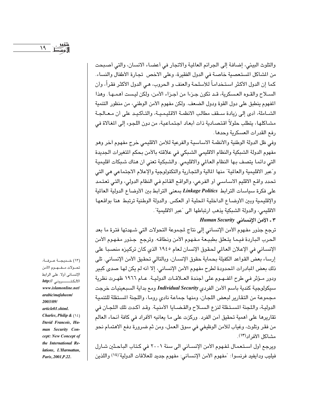والتلوث البيئي، إضافة إلى الجرائم العالمية والاتجار في أعضاء الانسان، والتي أصبحت من الشاكل المستعصية خاصة في الدول الفقيرة، وعلى الاخص تجارة الأطفال والنساء. كما إن الدول الأكثر استخداماً للأسلحة والعنف و الحروب، هـى الدول الأكثر فقراً، وأن السيلاح والقـوه العسكرية، قـد تكون جـزءا من أجـزاء الأمن، ولكن ليست أهمـهـا. وهذا المفهوم ينطبق على دول القوة ودول الضعف. ولكن مفهوم الأمن الوطني، من منظور التنمية الشـاملة، أدى إلى زيادة سـقف مطالب الانظمـة الاقليمـيـة، والتـأكـيـد على أن مـعـالجـة مشاكلها، يتطلب حلولاً اقتصادية ذات أبعاد اجتماعية، من دون اللجوء إلى المغالاة في رفع القدرات العسكرية وحدها .

وفي ظل الدولة الوطنية والأنظمة الاساسية والفرعية للأمن الاقليمي خرج مفهوم أخر وهو مفهوم الدولة الشبكية والنظام الاقليمي الشبكي في علاقته بالأمن بحكم المتغيرات الجديدة التي دائما يتصف بها النظام العالمي والاقليمي. والشبكية تعني ان هناك شبكات اقليمية و"عبر الاقليمية والعالمية" منها المالية والتجارية والتكنولوجية والإعلام الاجتماعي هي التي تحدد واقع الاقليم الاساسي أو الفرعي، والواقع القائم في النظام الدولي، والتي تعتمد على فكرة سياسات الترابط Linkage Politics بمعنى الترابط بين الأوضاع الدولية العالمية والإقليمية وبين الأوضـاع الداخلية المحلية أو العكس. والدولة الوطنية ترتبط هنا بواقـعها الاقليمي، والدولة الشبكية يذهب ارتباطها الى "عبر الاقليمية".

## ٣ ـ الأمن الانساني Human Security

ترجع جذور مفـهوم الأمن الإنسـاني إلى نتاج لـجـموعة التحولات التي شـهدتها فترة ما بعد الحرب الباردة فيما يتعلق بطبيعة مفهوم الأمن ونطاقه. وترجع جذور مفهوم الأمن الإنساني في الإعلان العالمي لحقوق الإنسان لعام ١٩٤٥ الذي كان تركيزه منصبا على إرساء بعض القواعد الكفيلة بحماية حقوق الإنسان، وبالتالي تحقيق الأمن الإنساني. تلي ذلك بعض المبادرات المحدودة لطرح مفهوم الأمن الإنساني، إلا أنه لم يكن لها صدى كبير ودور مـؤثر فـي طرح المفـهـوم على أجندة العــلاقــات الدوليــة. عــام ١٩٦٦ ظهـرت نظرية سيكولوجية كندية باسم الأمن الفردي Individual Security ومع بداية السبعينيات خرجت مجموعة من التقارير لبعض اللجان، ومنها جماعة نادي روما، واللجنة المستقلة للتنمية الدولية، واللجنة المستقلة لنزع السلاح والقضـايا الأمنيـة. وقـد أكـدت تلك اللجـان في تقاريرها على أهمية تحقيق أمن الفرد . وركزت على ما يعانيه الأفراد في كافة أنحاء العالم من فقر وتلوث، وغياب للأمن الوظيفي في سوق العمل، ومن ثم ضرورة دفع الاهتمام نحو مشاكل الأفر إد(١٣).

ويرجع أول اسـتـعمـال لمفـهوم الأمن الإنســاني الى سنة ٢٠٠١ في كـتـاب البـاحـثين شـارل فيليب ودايفيد فرنسوا: "مفهوم الأمن الإنساني: مفهوم جديد للعلاقات الدولية"(١٤) واللذين

(١٢) خــديجــة عــرفــة، تحولات مفهوم الأمن الإنساني أولا. على الرابط www.islamonline.net/ arabic/mafaheem/ 2003/09/ article01.shtml. Charles, Philip &  $(15)$ David Francois, Human Security Concept: New Concept of the International Relations, L'Harmattan, Paris, 2001, P.22.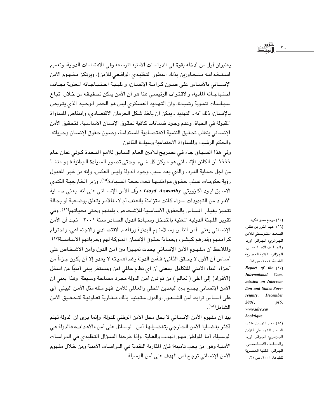يعتبران أول من أدخله بقوة في الدراسات الأمنية الموسعة وفي الاهتمامات الدولية، وتعميم استخدامـه مـتـجـاوزين بذلك المنظور التـقليدي الواقـعي للامن). ويرتكز مـفـهـوم الأمن الإنســاني بالأسـاس على صـون كـرامــة الإنسـان، و تلبـيـة احـتـيـاجـاته المعنوية بجــانب احتياجاته المادية، والاقتراب الرئيسي هنا هو أن الأمن يمكن تحقيقه من خلال اتباع سياسات تنموية رشيدة، وأن التهديد العسكري ليس هو الخطر الوحيد الذي يتربص بالإنسان، ذلك أنه ـ التهديد ـ يمكن أن يأخذ شكل الحرمان الاقتصادي، وانتقاص المساواة المقبولة في الحياة، وعدم وجود ضمانات كافية لحقوق الإنسان الأساسية. فتحقيق الأمن الإنساني يتطلب تحقيق التنمية الاقتصادية المستدامة، وصون حقوق الإنسان وحرياته، والحكم الرشيد، والمساواة الاجتماعية وسيادة القانون.

وفي هذا السياق جاء في تصريح للأمين العام السابق للأمم المتحدة كوفي عنان عام ١٩٩٩ أن الكائن الإنسـاني هو مركز كل شيء وحتى تصـور السـيادة الـوطنية فـهو منشـأ من أجل حماية الفرد، والذي يعد سبب وجود الدولة وليس العكس، وإنه من غير المقبول رؤية حكومـات تسلب حقـوق مـواطنيـهـا تحت حـجـة السـيـادة<sup>(١٥)</sup>. وزير الخـارجيـة الكندى الاسبق ليود أكزورتي Lioyd Axworthy عرّف الأمن الإنسـاني على أنه يعني حمـاية الأفراد من التهديدات سواء كانت متزامنة بالعنف أم لا، فالأمر يتعلق بوضعية أو بحالة تتميز بغياب المساس بالحقوق الأساسية للأشخاص، بأمنهم وحتى بحياتهم(١٦). وفي تقرير اللجنة الدولية المعنية بالتدخل وسيادة الدول الصادر سنة ٢٠٠١ نجد أن الأمن الإنساني يعنى أمن الناس وسلامتهم البدنية ورفاهم الاقتصادي والاجتماعي، واحترام كرامتهم وقدرهم كبشر، وحماية حقوق الإنسان الملوكة لهم وحرياتهم ألأساسية(١٧). والملاحظ أن مفهوم الأمن الإنساني يحدث تمييزا بين أمن الدول وأمن الأشخاص على أسـاس أن الأول لا يحـقق الثـاني؛ فـأمن الدولة رغم أهمـيـتـه لا يعدو إلا أن يكون جزءاً من أجزاء البناء الأمني المتكامل. بمعنى أن أي نظام عالمي أمن ومستقر يبني أمنيًا من أسفل (الأفراد) إلى أعلى (العالم ) من ثم فإن أمن الدولة مجرد مساحة وسيطة. وهذا يعني أن الأمن الإنسـاني يجمع بـين البعدين المحلي والعـالمي للأمن. فهو مثله مثل الأمن البيئي. أي على أسـاس ترابط أمن الشـعوب والدول متبنيا بذلك مـقـاربة تعـاونيـة لتـحقـيق الأمن الشامل(١٨).

بيد أن مفهوم الأمن الإنساني لا يحل محل الأمن الوطني للدولة، وإنما يرى أن الدولة تهتم أكثر بقضـايا الأمن الخارجي بتفضـيلـها أمن الوسـائل على أمن «الأهداف» فـالدولة هي الوسيلة، أما المواطن فهو الهدف والغاية. وإذا طرحنا السؤال التقليدي في الدراسات الأمنية وهو: من يجب تأمينه؟ فإن المقاربة النقدية في الدراسـات الأمنية ومن خـلال مفـهوم الأمن الإنساني ترجح أمن الهدف على أمن الوسيلة.

(١٥) مرجع سبق ذكره. (١٦) عبد النور بن عنتر، البعد المتوسطي للأمن الجزائري: الجزائر، أوربا والحلف الأطلسى. الجزائر، المكتبة العصرية للطباعة، ٢٠٠٥، ص ٢٨. Report of the  $(\forall)$ International Commission on Intervention and States Sovereignty, December 2001,  $p15.$ www.idrc.ca/ booktique.

 $Y$ .

(١٨) عبد النور بن عنتر، البعد المتوسطي للأمن الجزائري: الجزائر، أوربا والحلف الأطلسى. الجزائر، المكتبة العصرية للطباعة، ٢٠٠٥، ص ٢١.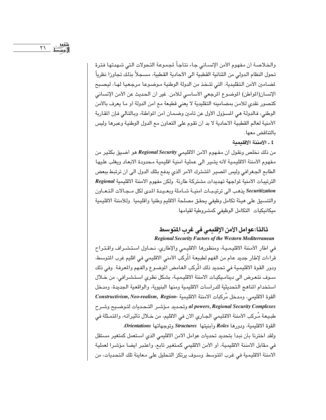والخلاصة أن مفهوم الأمن الإنساني جاء نتاجاً لجموعة التحولات التي شهدتها فترة تحول النظام الدولي من الثنائية القطبية الى الآحادية القطبية، مسجلاً بذلك تجاوزا نظرياً لمضامين الأمن التقليدية، التي تتخذ من الدولة الوطنية مـوضـوعـا مرجعيا لهـا، ليصـبح الإنسان(المواطن) الموضوع المرجعي الأساسي للأمن. غير أن الحديث عن الأمن الإنساني كتصور نقدى للأمن بمضامينه التقليدية لا يعنى قطيعة مع أمن الدولة أو ما يعرف بالأمن الوطني، فالدولة هي المسؤول الأول عن تأمين وضمان أمن المواطنة، وبالتالي فإن المقاربة الأمنية لعالم القطبية الاحادية لا بد أن تقوم على التعاون مع الدول الوطنية وعبرها وليس بالتناقض معها .

٤ ـ الأمننة الاقلىمىة

من ذلك نخلص ونقول ان مفهوم الامن الاقليمي Regional Security هو أضيق بكثير من مفهوم الأمننة الاقليمية لأنه يشير الى عملية امنية اقليمية محدودة الابعاد ويغلب عليها الطابع الجغرافي وليس المصير المشترك الامر الذي يدفع بتلك الدول الى ان ترتبط ببعض الترتيبات الأمنية لمواجهة تهديدات مشتركة طارئة. ولكن مفهوم الامننة الاقليمية Regional Securitization يذهب الى ترتيبات امنية شـاملة وبعـيدة المدى لكل مـجـالات التـعـاون والتنسيق على هيئة تكامل وظيفي يحقق مصلحة الاقليم وطنيا واقليميا . وللأمننة الاقليمية ميكانيكيات التكامل الوظيفي كمشروطية لقيامها.

# ثالثا:عوامل الأمن الإقليمي في غرب المتوسط **Regional Security Factors of the Western Mediterranean**

في اطار الأمننة الاقليمية، ومنظورها الاقليمي والإطاري، نحاول استشراف واقتراح قراءات لإطار جديد عام من الفهم لطبيعة المُركب الأمنى الاقليمي في اقليم غرب المتوسط، ودور القوة الاقليمية في تحديد ذلك المُركب الغامض الموضـوع والفـهم والمعرفـة. وفي ذلك سـوف نتعرض الى ديناميكيـات الامننة الاقليميـة، بشكل نظرى اسـتشـرافى، من خـلال استخدام المناهج التحديثية للدراسات الاقليمية ومنها البنيوية، والواقعية الجديدة، ومدخل القوة الاقليمي، ومدخل مُركبات الامننة الاقليمية -Constructivism, Neo-realism, Region al powers, Regional Security Complexes وتحديد مؤشر التحديات لتوضيح وشرح طبيعة مُركب الأمننة الاقليمي الجـاري الان في الاقليم، من خـلال تأثيراته، والمتمثلة في القوة الاقليمية، ودورها Roles وأبنيتها Structures وتوجهاتها Orientations.

ولقد اخترنا بأن نبدأ بتحديد تحديات عوامل الامن الاقليمي الذي استعمل كمتغير مستقل في مقابل الامننة الاقليمية، أو الأمن الاقليمي كمتغير تابع، واعتبر ايضا مؤشرا لعملية الامننة الاقليمية في غرب المتوسط. وسوف يرتكز التحليل على معاينة تلك التحديات، من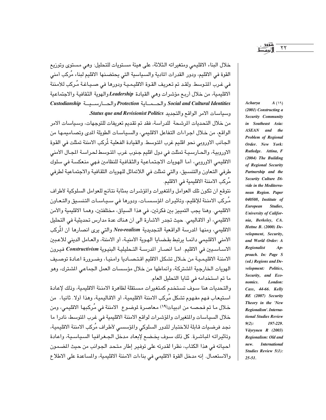خلال البناء الاقليمي ومتغيراته الثلاثة، على هيئة مستويات للتحليل: وهي مستوى وتوزيع القوة في الاقليم، ودور القدرات المادية والسـياسية التي يحتضـنها الاقليم لبناء مُركب أمني في غرب المتوسط. ولقد تم تعريف القوة الاقليمية ودورها في صـيـاغـة مُـركب للأمننة الاقليمية، من خلال أربع مؤشرات وهي القيادة Leadership والهوية الثقافية والاجتماعية Social and Cultural Identities والحسماية Protection والحسارسييسة Custodianship وسياسات الامر الواقع والتجديد Status que and Revisionist Politics.

من خلال التحديات الرشحة اللدراسة، فقد تم تقديم تعريفات للتوجهات، وسياسات الامر الواقع، من خلال اجراءات التفاعل الاقليمي، والسياسات الطويلة الدى وتصاميمها من الجانب الاوروبي نحو اقليم غرب المتوسط. والقيادة الفعلية لُركب الامننة تمثلت في القوة الاوروبية، والحـارسـيـة تمثلت في دول اقليم جنوب غرب المتوسط لحراسـة المجـال الأمنى الاقليمي الاوروبي، أما الهويات الاجتماعية والثقافية للنظامين فـهي منعكسة في سلوك طرفي التعاون والتنسيق، والتي تمثلت في اللاتماثل للهويات الثقافية والاجتماعية لطرفي مُركب الامننة الاقليمية في الاقليم.

نتوقع ان تكون تلك العوامل والمتغيرات والمؤشرات بمثابة نتائج للعوامل السلوكية لأطراف مُركب الامننة للإقليم، وتأثيرات المؤسسـات، ودورها في سـيـاسـات التنسـيق والتـعـاون الاقليمي. وهنا يجب التمييز بين فكرتين، في هذا السياق، مختلفتين، وهمـا الاقليمية والأمن الاقليمي، أو الاقاليمي. حيث تجدر الاشارة الى أن هناك عدة مدارس تحديثية في التحليل الاقليمي، ومنها المدرسة الواقعية التجديدية Neo-realism والتي يرى انصارها ان المُركب الأمني الاقليمي دائمـا يرتبط بقضـايا الهـوية الأمنيـة، أو الامننة، والعـامل الديني للاعـبين الاساسيين في الاقليم. اما انصار الدرسة التحليلية البنيوية Constructivism فيرون الامننة الاقليمية من خلال تشكل الاقليم اقتصاديا وامنيا، وضرورة اعادة توصيف الهويات الخارجية الشتركة، وأنماطها من خلال مؤسسات العمل الجماعي الشترك، وهو ما تم استخدامه في ثنايا التحليل العام.

والتحديات هنا سوف تستخدم كمتغيرات مستقلة لظاهرة الامننة الاقليمية، وذلك لإعادة استيعاب فـهم مفـهوم تشكل مُركب الامننة الاقليمية، أو الاقـاليمية، وهذا أولا. ثانيـا، من خلال ما تم فحصـه من ادبيـات(١٩) مـعاصـرة لموضـوع الامننة في مُركبها الاقليمي، ومن خلال السياسات والمتغيرات والمؤشرات لواقع الامننة الاقليمية في غرب المتوسط، نادرا ما نجد فرضيات قابلة للاختبار للدور السلوكي والمؤسسي لأطراف مُركب الامننة الاقليمية، وتأثيراته الباشرة. كل ذلك سوف يخضع لإبعاد مدخل الجغرافيا السياسية، واعادة احيائه في هذا الكتاب، نظرا لقدرته على توفير إطار متحد الجوانب من حيث الضمون والاستعمال. إنه مدخل القوة الاقليمي في بناءات الامننة الاقليمية، والمساعدة على الاطلاع

 $A(N)$ Acharya (2001) Constructing a Security Community in Southeast Asia: ASEAN and the Problem of Regional Order. New York: Rutledge. Attina, F (2004) The Building of Regional Security Partnership and the Security Culture Divide in the Mediterranean Region. Paper 040508, Institute of **European** Studies, University of California, Berkeley, CA. Hettne B. (2000) Development, Security, and World Order: A **Regionalist**  $Ap$ proach. In: Page S (ed.) Regions and Development: Politics, Security, and Economics. London: Cass, 44-66. Kelly RE (2007) Security Theory in the 'New Regionalism'. International Studies Review  $9(2)$ : 197-229. Väyrynen R (2003) Regionalism: Old and **International** new. Studies Review 5(1):  $25 - 51$ .

 $\mathsf{Y}\mathsf{Y}$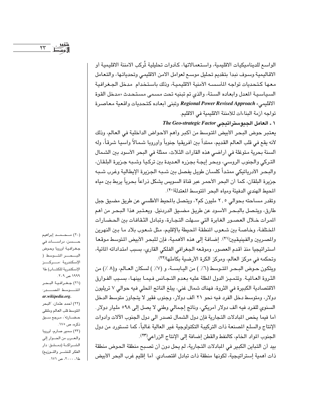الواسع للديناميكيات الاقليمية، واستعمالاتها، كأدوات تحليلية لمُركب الامننة الاقليمية أو الاقاليمية وسوف نبدأ بتقديم تحليل موسع لعوامل الامن الاقليمي وتحدياتها، والتعامل معها كتحديات تواجه المأسسه الأمنية الاقليمية، وذلك باستخدام مدخل الجغرافية السياسية المعدل وابعاده الستة، والذي تم تبنيه تحت مسمى مستحدث «مدخل القوة الاقليمي» Regional Power Revised Approach وتبنى أبعاده كتحديات واقعية معاصرة تواجه أزمة البناءات للأمننة الاقليمية في الاقليم.

1 ـ العامل الحدوستر اتيجى The Geo-strategic Factor

يعتبر حوض البحر الأبيض المتوسط من أكبر وأهم الأحواض الداخلية في العالم، وذلك لأنه يقع في قلب العالم القديم، ممتداً بين أفريقيا جنوباً وأوروبا شمالاً واَسيا شرقاً، وله ألسنة بحرية متوغلة في أراضي هذه القارات الثلاث، ممثلة في البحر الأسود بين الشمال التركي والجنوب الروسي، وبحر إيجة بجزره العديدة بين تركيا وشبه جزيرة البلقان، والبحر الأدرياتيكي ممتداً كلسان طويل يفصل بين شـبـه الجزيرة الإيطالية وغرب شـبـه جزيرة البلقان، كما أن البحر الأحمر عبر قناة السويس يشكل ذراعاً بحرياً يربط بين مياه المحيط الهندى الدفيئة ومياه البحر المتوسط المعتدلة(٢٠).

وتقدر مساحته بحوالي ٢,٥ مليون كم٢، ويتصل بالمحيط الأطلسي عن طريق مضيق جبل طارق، ويتصل بالبـحـر الأسـود عن طريق مضـيق الدردنيل. ويعـتـبر هذا البـحـر من أهم المرات خلال العصور الغابرة التي سهلت التجارة، وتبادل الثقافات بين الحضارات المختلفة، وخاصة بين شعوب المنطقة المحيطة بالإقليم، مثل شعوب بلاد ما بين النهرين والمصريين والفينيقيين(٢١). إضـافـة إلى هذه الأهميـة، فإن للبحر الأبيض المتوسط مـوقـعـا استراتيجيا منذ أقدم العصور، وموقعه الجغرافي الفلكي القاري، بسبب امتداداته المائية، وتحكمه في مركز العالم، ومركز الكرة الأرضية بكاملها(٢٢).

ويتكون حـوض البـحـر المتـوسط (٦٪ ) من اليـابســة، و (٧٪ ) لسكان العـالم، و(٨ ٪) من الثروة العالية. وتتميز الدول المطلة عليه بعدم التجانس فيما بينها، بسبب الفوارق الاقتصادية الكبيرة في الثروة، فهناك شمال غني، يبلغ الناتج المحلي فيه حوالي ٧ تريليون دولار، ومتوسط دخل الفرد فيه نحو ٢١ ألف دولار، وجنوب فقير لا يتجاوز متوسط الدخل السنوي للفرد فيه ألف دولار أمريكي، وناتج إجمالي وطني لا يصل إلى ٩٨ه مليار دولار. أما فيما يخص المبادلات التجارية فإن دول الشمال تصدر الى دول الجنوب الآلات وأدوات الإنتاج والسلع المصنعة ذات التركيبة التكنولوجية غير العالية غالباً، كما تستورد من دول الجنوب المواد الخام، كالنفط والقطن إضافة إلى الإنتاج الزراعي(٢٣).

بيد أن التباين الكبير في المبادلات التجارية، لم يحل دون أن تصبح منطقة الحوض منطقة ذات أهمية إستراتيجية، لكونها منطقة ذات تبادل اقتصـادى. أما إقليم غرب البحر الأبيض

(٢٠) مــحــمــد إبراهيم حـــــسـن، دراســــــات فـى جغرافية أوروبا وحوض البحسر المتوسط ( الإسكندرية مسركسز الإسكندرية للكتـاب) طا ۱۹۹۹ ص ۲۰۹. (٢١) جغرافية البحر المتسوسط المصدر: ar.wikipedia.org. (٢٢) أحمد عثمان، "البحر المتوسط قلب العالم وملتقى حضــارته"، مـرجع ســبق ذكره، ص ١٧٥. (٢٣) سمير صارم، أوروبا والعرب من الحوار إلى الشـراكــة (دمـشق: دار الفكر للنشر والتوزيع) ط۱، ۲۰۰۰، ص ۱۷۱.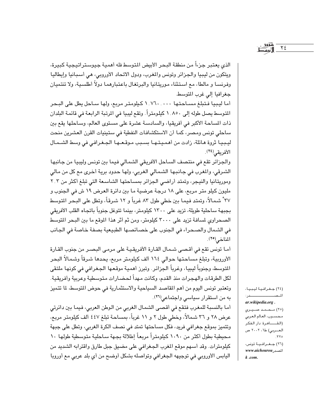الذي يعتبر جزءاً من منطقة البحر الأبيض المتوسط فله أهمية جيوستراتيجية كبيرة، ويتكون من ليبيا والجزائر وتونس والمغرب، ودول الاتحاد الأوروبي، هي أسبانيا وإيطاليا وفرنسـا و مالطا، مع اسـتثناء موريتـانيا والبرتغـال باعتبارهمـا دولاً أطلسـيـة، ولا تنتميـان جغرافيا إلى غرب المتوسط.

أما ليبيا فتبلغ مساحتها ١.٧٦٠.٠٠٠ كيلومتر مربع، ولها ساحل يطل على البحر المتوسط يصل طوله إلى ١.٨٥٠ كيلومتراً. وتقع ليبيا في المرتبة الرابعة في قائمة البلدان ذات المساحة الأكبر في أفريقيا، والسادسة عشرة على مستوى العالم، وساحلها يقع بين ساحلي تونس ومصر، كما أن الاستكشافات النفطية في ستينيات القرن العشرين منحت ليبيا ثروة هائلة، زادت من أهميتها بسبب موقعها الجغرافي في وسط الشمال الأفريقي(٢٤).

والجزائر تقع فى منتصف الساحل الأفريقى الشمالي فيما بين تونس وليبيا من جانبها الشرقي، والمغرب في جانبها الشمالي الغربي، ولها حدود برية أخرى مع كل من مالي وموريتانيا والنيجر، وتمتد أراضي الجزائر بمساحتها الشاسعة التي تبلغ أكثر من ٢.٢ مليون كيلو متر مربع، على ١٨ درجة عرضية ما بين دائرة العرض ١٩ ش في الجنوب و ٣٧ ْ شمالاً، وتمتد فيما بين خطي طول ٨٣ غرباً و ١٢ شرقاً، وتطل على البحر المتوسط بجبهة ساحلية طويلة، تزيد على ١٣٠٠ كيلومتر، بينما تتوغل جنوباً باتجاه القلب الأفريقي الصحراوي لمسافة تزيد على ٣٠٠٠ كيلومتر، ومن ثم أثر هذا الموقع ما بين البحر المتوسط في الشمال والصحراء في الجنوب على خصائصها الطبيعية بصفة خاصة في الجانب المناخي(٢٥).

أمـا تونس تقع في أقـصـى شـمـال القـارة الأفريقـيـة على مرمـى البـصـر من جنوب القـارة الأوروبية، وتبلغ مساحتها حوالي ١٦٤ ألف كيلومتر مربع، يحدها شرقاً وشمالاً البحر اللتوسط، وجنوباً ليبيا، وغرباً الجزائر. وتبرز أهمية موقعها الجغرافي في كونها ملتقى لكل الطرقات والهجرات منذ القدم، وكانت مهداً لحضـارات متوسطية وعربية وأفريقية. وتعتبر تونس اليوم من أهم المقاصد السياحية والاستثمارية في حوض المتوسط، لما تتميز به من استقرار سياسي واجتماعي<sup>(٢٦)</sup>.

أما بالنسبة للمغرب فتقع في أقصى الشمال الغربي من الوطن العربي، فيما بين دائرتي عرض ٢٨ و ٣٦ شمالاً، وخطى طول ٢ و ١١ غرباً، بمساحة تبلغ ٤٤٧ ألف كيلومتر مربع، وتتميز بموقع جغرافي فريد، فكل مساحتها تمتد في نصف الكرة الغربي، وتطل على جبهة محيطية بطول أكثر من ١٠٩٠ كيلومتراً مربعاً إطلالة بجهة سـاحلية متوسطية طولها ١٠ كيلومترات. وقد أسهم موقع المغرب الجغرافي على مضيق جبل طارق واقترابه الشديد من اليابس الأوروبي في توجيهه الجغرافي وتواصله بشكل أوضح من أي بلد عربي مع أوروبا

(٢٤) جغرافية ليبيا، المصيب المستحدر: ar.wikipedia.org.

 $Y \xi$ 

(۲۰) محمد صیری محسوب، العالم العربي (القساهرة: دار الفكر  $.770$ 

(٢٦) جــغــرافـيــة تونس، المصدر www.aichourou  $k$ .com.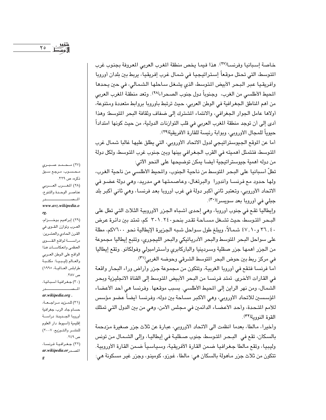خاصة إسبانيا وفرنسا(٢٧). هذا فيما يخص منطقة المغرب العربي المعروفة بجنوب غرب المتوسط، التي تحتل موقعاً إستراتيجيا في شمال غرب إفريقيا، يربط بين بلدان أوروبا وأفريقيا عبر البحر الأبيض المتوسط، الذي يشغل ساحلها الشمالي، في حين يحدها المحيط الأطلسي من الغرب، وجنوباً دول جنوب الصحراءلا×٢). وتعد منطقة المغرب العربي من أهم المناطق الجغرافية في الوطن العربي، حيث ترتبط بأوروبا بروابط متعددة ومتنوعة، أولاها عامل الجوار الجغرافي، والانتماء المشترك إلى ضفاف وثقافة البحر المتوسط؛ وهذا أدى إلى أن توجد منطقة المغرب العربي في قلب التوارنات الدولية، من حيث كونها امتداداً حيوياً للمجال الأوروبي، وبوابة رئيسة للقارة الأفريقية(٢٩).

أما عن الموقع الجيوستراتيجي لدول الاتحاد الأوروبي، التي يطلق عليها غالبا شمال غرب المتوسط، فتتمثل أهميته في القرب الجغرافي بينها وبين جنوب غرب المتوسط، ولكل دولة من دوله أهمية جيوستراتيجية أيضا يمكن توضيحها على النحو الآتي:

تطلّ أسبانيا على البحر المتوسط من ناحية الجنوب، والمحيط الأطلسي من ناحية الغرب، ولها حدود مع فرنسـا وأندورا والبرتغال، وعاصمتها هي مدريد، وهي دولة عضـو في الاتحاد الأوروبي، وتعتبر ثاني أكبر دولة في غرب أوروبا بعد فرنسا، وهي ثاني أكبر بلد جبلي في أوروبا بعد سويسرا(٣٠).

وإيطاليا تقع في جنوب أوروبا، وهي إحدى أشباه الجزر الأوروبية الثلاث التي تطل على البـحر المتوسط، حيث تشـغل مسـاحة تقـدر بنحـو٢٠١٫٢٤٠ كم، تمتد بين دائرة عرض ٢٦, ٤٠ و٤٧, ٤٧ شمالاً، ويبلغ طول سـواحل شبـه الـجـزيرة الإيطالية نحـو ٧٦٠٠كم، مطلة على سواحل البحر المتوسط والبحر الأدرياتيكي والبحر الليجوري، وتتبع إيطاليا مجموعة من الجزر أهمها جزر صقلية وسردينيا والباركابرى وأسترامبولي وفولكانو. وتقع إيطاليا في مركز ربط بين حوض البحر المتوسط الشرقي وحوضه الغربي(٣١).

أما فرنسا فتقع في أوروبا الغربية، وتتكون من مجموعة جزر وأراض وراء البحار واقعة في القارات الأخرى. تمتد فرنسا من البحر الأبيض المتوسط إلى القناة الانجليزية وبحر الشمال، ومن نهر الراين إلى المحيط الأطلسي. بسبب موقعها. وفرنسا هي أحد الأعضاء المؤسسين للاتحاد الأوروبي، وهي الأكبر مساحة بين دوله، وفرنسا أيضاً عضو مؤسس للأمم المتحدة، وأحد الأعضـاء الدائمين في مـجلس الأمن، وهي من بين الدول التي تمتلك القوة النووية(٣٢).

وأخيرا، مالطا، بعدما انظمت الى الاتحاد الاوروبي، عبارة عن ثلاث جزر صغيرة مزدحمة بالسكان، تقع في البـحـر المتوسط، جنوب صـعليـة في إيـطاليـا، وإلى الشـمـال من تونس وليبيا، وتقع مالطا جغرافيا ضمن القارة الأفريقية، وسياسياً ضمن القارة الأوروبية. تتكون من ثلاث جزر مـأهولة بالسكان هي: مالطا، غوزو، كومينو، وجزر غير مسكونة هي:

(٢٧) مــحــمـد صــبــري محسوب، مرجع سبق ذكره، ص ٣٢٩. (٢٨) المغرب العربي عناصر الوحدة والتنوع، المصيدر

#### www.avz.wikipedia.o rg.

(٢٩) إبراهيم بوخـــزام، العـرب وتوازن القــوي في القرن الحادي والعشرين: دراســـة لواقع القـــوى العظمى وانعكاسات هذا الواقع على الوطن العربى والعالم (ليبيا: مكتبة طرابلس العالمية، ١٩٩٥) ص ۳۸۷. (٣٠) جغرافية أسبانيا،

#### المصطدر ar.wikipedia.org.

(٣١) للمزيد مراجعة، حسام جاد الرب، جغرافية أوروبا الجديدة: دراسة إقليمية (أسيوط دار العلوم للنشىر والتوزيع، ٢٠٠٧) ص ۲٤۹. (٢٢) جغرافية فرنسا،

ar.wikipedia.or g

 $Y \circ$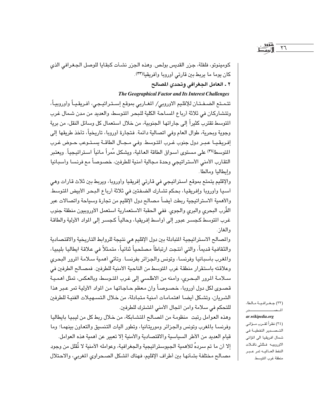كومينوتو، فلفلة، جزر القديس بولص. وهذه الجزر نشـأت كبقـايا للوصل الجـغرافي الذي كان يوما ما يربط بين قارتي أوروبا وأفريقيا(٣٣).

## ٢ ـ العامل الجغرافي وتحدي المصالح

The Geographical Factor and Its Interest Challenges

تتمـتع الضـفـتـان للإقليم الاوروبي/ المغـاربي بموقع إسـتـراتيـجي، أفـريقـيـاً وأوروبيـاً، وتتشاركان في ثلاثة أرباع المساحة الكلية للبحر المتوسط، والعديد من مدن شمال غرب النوسط تقترب كثيراً إلى جاراتها الجنوبية، من خلال استعمال كل وسائل النقل، من برية وجوية وبحرية، طوال العام وفي اتصالية دائمة. فتجارة أوروبا، تاريخياً، تأخذ طريقها إلى إفريقيـا عبـر دول جنوب غـرب المتوسط وفى مـجـال الطاقـة يسـتـوعب حـوض غـرب المتوسط(٣٤) على مستوى أسـواق الطاقة الـعـالية، ويشكل مُمراً مـائياً اسـتراتيـجياً . ويعتبر التقارب الأمنى الأستراتيجي وحدة مجالية أمنية للطرفين، خصوصاً مع فرنسا وأسبانيا وإيطاليا ومالطا.

والإقليم يتمتع بموقع استراتيجي في قارتي إفريقيا وأوروبا، ويربط بين ثلاث قارات وهي آسيا وأوروبا وإفريقيا، بحكم تشارك الضفتين في ثلاثة أرباع البحر الأبيض المتوسط. والأهمية الاستراتيجية ربطت أيضاً مصالح دول الإقليم من تجارة وسياحة واتصالات عبر القُرب البحري والبري والجوي. ففي الحقبة الاستعمارية استعمل الأوروبيون منطقة جنوب غرب التوسط كجسـر عبور إلى أواسط إفريقيا، وحالياً كجسـر إلى المواد الأولية والطاقة والغاز.

والمصالح الاستراتيجية المتبادلة بين دول الإقليم هي نتيجة للروابط التاريخية والاقتصادية والثقافية قديماً، والتي أنتجت ارتباطاً مصلحياً ثنائياً، متمثلاً في علاقة ايطاليا بليبيا، والمغرب بأسبانيا وفرنسا، وتونس والجزائر بفرنسا. وتأتى أهمية سلامة المرور البحرى وعلاقته باستقرار منطقة غرب المتوسط من الناحية الأمنية للطرفين. فمصـالـح الطرفين في سلامة المرور البحري، وأمنه من الاطلسي إلى غرب المتوسط، وبالعكس، تمثل أهمية قصـوى لكل دول أوروبا، خصـوصـاً وان مـعظم حـاجـاتها من المواد الأولية تمر عـبر هذا الشريان، وتشكل أيضا اهتمامات أمنية متبادلة، من خلال التسهيلات الفنية للطرفين للتحكم في سلامة وامن المجال الأمنى الشترك للطرفين.

وهذه العوامل رتبت منظومة من المصالح المتشابكة، من خلال ربط كل من ليبيا بايطاليا وفرنسـا بالمغرب وتونس والجزائر وموريتانيا، وتطور أليات التنسيق والتعاون بينهمـا؛ وما قيام العديد من الأطر السياسية والاقتصادية والأمنية إلا تعبير عن أهمية هذه العوامل. إلا أن ما تم سردهُ للأهمية الجيوستراتيجية والجغرافية، وعوامله الأمنية لا تُقلل من وجود مصـالـع مـختلفـة بشـأنهـا بين أطراف الإقليم، فهناك المشكل الصـحراوي المغربي، والاحـتلال

(٣٣) جغرافية مالطا، الم صحب عدد

 $\tau$ 

 $\emph{ar.wikipedia.org}$ 

(٣٤) نظراً لقـرب مـؤانى التـصــدير النفطيــة في شمال افريقيا الى المؤانى الاوروبيه فشثمى ناقىلات النفط العالميه تمر عبر منطقة غرب المتوسط.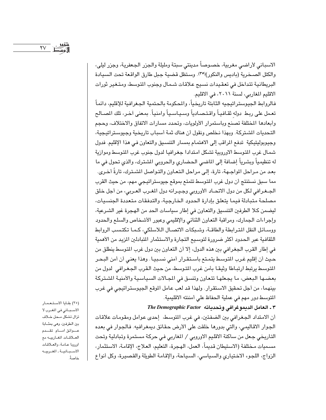الاسباني لأراضي مغربية، خصوصاً مدينتي سبتة ومليلة والجزر الجعفرية، وجزر ليلي، والكتل الصخرية (باديس والنكور)(٣٥). وستظل قضية جبل طارق الواقعة تحت السيادة البريطانية تتداخل في تعقيدات نسيج علاقات شمال وجنوب المتوسط، ومتغير ثورات الاقليم المغاربي، لسنة ٢٠١١، في الاقليم.

فالروابط الجيوستراتيجيه الثابتة تاريخياً، والمكومة بالحتمية الجغرافية للإقليم، دائماً تعمل على ربط دوله ثقـافيـاً واقـتـصـادياً وسـيـاسـياً وامنياً. بمـعنى اَخـر، تلك المصـالـع وأبعادها المختلفة تصنع وباستمرار الأولويات، وتحدد مسارات الاتفاق والاختلاف، وحجم التحديات الشتركة. وبهذا نخلص ونقول أن هناك ثمة أسباب تاريخية وجيوستراتيجية، وجيوبوليتيكية تدفع المراقب إلى الاهتمام بمسار التنسيق والتعاون في هذا الإقليم. فدول شمال غرب التوسط الاوروبية تشكل امتدادا جغرافيا لدول جنوب غرب التوسط وموازية له تنظيمياً وبشرياً إضافة إلى الماضى الحضارى والحروبي الشترك، والذي تحول في ما بعد من مراحل المواجـهـة، تارة، إلـى مراحل الـتعـاون والتـواصل الشـترك، تارةً أخـرى. مما سبق نستنتج أن دول غرب المتوسط تتمتع بموقع جيوستراتيجي مهم، من حيث القرب الجغرافي لكل من دول الاتحاد الأوروبي وجيرانه دول المغرب العربي، من أجل خلق مصلحة متبادلة فيما يتعلق بإدارة الحدود الخارجية، والتدفقات متعددة الجنسيات، ليضمن كلا الطرفين التنسيق والتعاون في إطار سياسات الحد من الهجرة غير الشرعية، وإجراءات الجمارك، ومراقبة التعاون الثنائي والإقليمي وعبور الأشخاص والسلع والحدود ووسائل النقل المترابطة والطاقة، وشبكات الاتصال اللاسلكي، كما تكتسب الروابط الثقافية عبر الحدود أكثر ضرورة لتوسيع التجارة والاستثمار التبادلين المزيد من الأهمية في إطار القرب الجغرافي بين هذه الدول، إلا أن التعاون بين دول غرب المتوسط ينطلق من حيث أن إقليم غرب المتوسط يتمتع باستقرار أمنى نسبيا. وهذا يعني أن أمن البحر المتوسط يرتبط ارتبـاطا وثيقـا بأمن غرب المتوسط، من حيث الـقرب الجـغـرافي لدول من بعضها البعض، ما يجعلها تتعاون وتنسق في المجالات السياسية والأمنية الشتركة بينهما، من أجل تحقيق الاستقرار. ولهذا قد لعب عامل الموقع الجيوستراتيجي في غرب المتوسط دور مهم في عملية الحفاظ على أمننته الاقليمية.

## ٣ ـ العامل الديموغرافي وتحدياته The Demographic Factor

أن الامتداد الجغرافي بين الضفتين، في غرب المتوسط، إحدى عوامل ومقومات علاقات الجوار الاقاليمي، والتي بدورها خلقت على الأرض حقائق ديمغرافيه. فالجوار في بعده التاريخي جعل من ساكنة الاقليم الاوروبي / المغاربي في حركة مستمرة وتبادلية وتحت مسميات مختلفة (الاستيطان قديماً، العمل، الهجرة، التعليم، العلاج، الإقامة، الاستثمار، الزواج، اللجوء الاختياري والسياسي، السياحة، والإقامة الطويلة والقصيرة، وكل أنواع

(٣٥) بقايا الاستعمار الاسبانى فى المغرب لا تزال تشكل محل خلاف بين الطرفين، وهي بمثابة عسوائق امسام تقسدم العلاقات المغاربيه مع اوروبا عامة، والعلاقات الاسبانية. المغربيه خاصةً.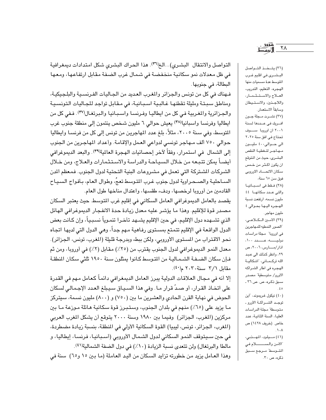التواصل والانتقال البشري)...الخ(٣٦). هذا الحراك البشري شكل امتدادات ديمغرافية في ظل معدلات نمو سكانية منخفضة في شمال غرب الضفة مقابل ارتفاعها، ومعها البطالة، في جنوبها .

فـهناك في كل من تونس والجزائر والمغرب العديد من الجـاليات الفـرنسـية والبلـجيكيـة، ومناطق سبتة ومليلة تقطنها غالبية اسبانية، في مقابل تواجد للجاليات التونسية والجزائرية والمغربية في كل من ايطاليـا وفـرنسـا واسـبـانيـا والبرتغـال(٣٧). فـفى كل من ايطاليا وفرنسا واسبانياله") يعيش حوالي ٦ مليون شخص ينتمون إلى منطقة جنوب غرب المتوسط، وفي سنة ٢٠٠٥، مثلاً، بلغ عدد المهاجرين من تونس إلى كل من فرنسـا وايطاليا حوالي ٧٥٠ ألف مـهاجر تونسي لدواعي العمل والإقامة. وأعداد المهاجرين من الجنوب إلى الشمال في استمرار، وفقاً لآخر إحصائيات الهجرة العالمية(٣٩). والبعد الديموغرافي أيضـاً يمكن تتبعه من خلال السياحة والدراسة والاستثمارات والعلاج، ومن خلال الشركات الشتركة التي تعمل في مشروعات البنية التحتية لدول الجنوب. فمعظم المن السـاحليـة والصـحـراوية لدول جنوب غـرب المتوسط تعجُ، وطوال العـام، بـأفـواج السـيـاح القادمين من أوروبا لرخصها، ودفء طقسها، واعتدال مناخها طول العام.

يقصد بالعامل الديموغرافي العامل السكاني في إقليم غرب المتوسط. حيث يعتبر السكان مصدر قوة للإقليم. وهذا ما يؤشر عليه معدل زيادة حدة الانفجار الديموغرافي الهائل الذي تشــهده دول الإقليم، في حين الإقليم يشــهد تأخـرا تنمـوياً نسـبـياً، وإن كـانت بعض الدول الواقعة في الإقليم تتمتع بمستوى رفاهية مـهم جداً، وهي الدول التي لديها اتجاه نحو الاقتراب من المستوى الأوروبي، ولكن ببطء وبدرجة قليلة (المغرب، تونس، الجزائر). معدل النمو الديموغرافي لدول الجنوب يقترب من (٢٥٪) مقابل (٢٪) في أوروبا، ومن ثم فإن سكان الضـفـة الشـمـاليـة من المتـوسط كـانوا يمثلون سـنة ١٩٥٠ ثلثي سكان المنطقـة مقابل ٢/٢ سنة ٢٠٢٠ م(٤٠).

إلا أنه في مجال العلاقات الدولية يبرز العامل الديمغرافي دائماً كعامل مهم في القدرة على اتخـاذ القـرار، أو صـدّ قرار مـا. وفي هذا السـيـاق سـيـبلغ العـدد الإجـمـالـي لسكان الحوض في نهاية القرن الحادي والعشرين ما بين (٧٥٠) و (٨٠٠) مليون نسمة، سيتركز ما يزيد على (٦٥٪) منهم في بلدان الجنوب، وستبرز قوة سكانية هائلة موزعة ما بين مركزين (المغرب، الجزائر) وفيما بين ١٩٨٠ وسنة ٢٠٠٠ يتوقع أن يشكل المغرب العربي (المغرب، الجزائر، تونس، ليبيا) القوة السكانية الأولى في المنطقة، بنسبة زيادة مضطردة، في حين سـيـتوقف النمـو السكاني لدول الشـمـال الأوروبى (أسـبـانيـا، فـرنسـا، إيطاليـا، و مالطا والبرتغال) ولن تتعدى نسبة الزيادة (١٠٪) في دول الضفة الشمالية(٤١). وهذا العـامل يزيد من خطورته تزايد السكان من اليـد العـاملة (مـا بـين ١٥ و٦٥) سنة في

(٣٦) يتخذ التواصل البشرى فى اقليم غـرب المتوسط عدة مسميات منها الهجره، التعليم، التدريب، العلاج والاستشمار، واللاجئين، والاستيطان وسابقاً الاستعمار. (٣٧) نشــرت مــجلة جــون افريك فى عددها لسنة ٢٠٠١ ان اوروبا سـوف تحتاج في افق سنة ٢٠٢٥ الى حوالى ٤٠٠ مليون مهاجر لتغطية النقص البشري، حيث من المتوقع ان یکون اکـثـر من خـمس سكان الاتحساد الاوروبي فوق سن ٦٥ سنة، (٢٨) فقط فى اسبانيا والتى عدد سكانها ٤٤ مليون نسمه، ارتفعت نسبة الهجره اليها بحوالى ٤ مليون مهاجر. (٣٩) الامين الكلاعـى، الصور النمطيه للمهاجرين في اوروبا" مجلة دراسات دوليـــــه، عـــــــدد ١٠٠، اذار/مـــارس، ٢٠٠٦، ص ٢٩، وانظر كذلك الى عبد الله تركـمــانى، "اشكاليــة الهجره فى اطار الشراكه الاورو/ متوسطية" مصدر سبق ذکرہ، ص. ص ٣٦ ـ  $.50$ (٤٠) نيكول غريموند، "أين توجـد الشــراكــة الأورو ـ متوسطة" مجلة الدراسات العليا، السنة الثانية، عدد خاص (خريف ١٤٢٨) ص . \  $\cdot \wedge$ 

(٤١) ميلود، المهنبي، الأمن والســـــــــلام فـي المتوسط مرجع سبق ذكره، ص ٣٠.

<u> ۱۹۵۳ - تشوید .</u><br>۲۸ - الگویس<del>ط</del>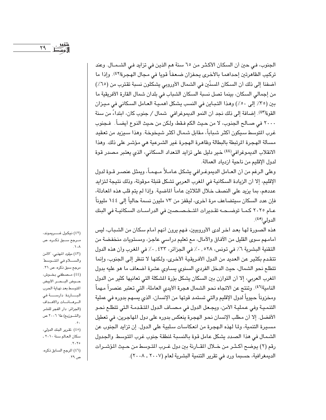الجنوب، في حين أن السكان الأكثر من ٦٥ سنة هم الذين في تزايد في الشـمــال. وعند تركيب الظاهرتين إحداهما بالأخرى يحفزان ضعفاً قويا في مجال الهجرة(٤٢). وإذا ما أضفنا إلى ذلك أن السكان المسنّين في الشمال الأوروبي يشكلون نسبة تقترب من (٦٥٪) من إجمالي السكان، بينما تصل نسبة السكان الشباب في بلدان شمال القارة الأفريقية ما بين (٣٥٪ إلى ٥٠٪) وهذا التباين في النسب يشكل أهمية العامل السكاني في ميزان القوة(٤٣). إضافة إلى ذلك نجد أن النمو الديموغرافي شمال / جنوب كان، ابتداءً من سنة ٢٠٠٠ في صـالـع الـجنوب، لا من حـيث الكم فـقط، ولـكن من حـيث النـوع أيضــاً . فـجنوب غرب التوسط سيكون أكثر شباباً، مقابل شمال أكثر شيخوخة. وهذا سيزيد من تعقيد مسألة الهجرة المرتبطة بالبطالة وظاهرة الهجرة غير الشرعية هي مؤشر على ذلك. وهذا الانقلاب الديموغرافي<sup>(٤٤)</sup> خير دليل على تزايد التعداد السكاني، الذي يعتبر مصدر قوة لدول الإقليم من ناحية ازدياد العمالة.

وعلى الرغم من أن العـامل الديموغـرافي يشكل عـامـلاً مـهمـاً، ويمثل عنصـر قـوة لدول الإقليم، إلا أن الزيادة السكانية في المغرب العربي تشكل قنبلة موقوتة، وذلك نتيجة لتزايد عددهم، بما يزيد على النصف خلال الثلاثين عاماً الماضية. وإذا لم يتم قلب هذه المعادلة، فإن عدد السكان سيتضاعف مرة أخرى، ليقفز من ٧٣ مليون نسمة حالياً إلى ١٤٤ مليوناً عـام ٢٠٢٥ كمـا توضـحـه تقـديرات المتـخـصـصين في الدراسـات السكانيـة في البنك الدولي(٤٥).

هذه الصورة لها بعد آخر لدى الأوروبيين، فهم يرون أنهم أمام سكان من الشباب، ليس أمامهم سوى القليل من الآفاق والآمال، مع تعليم دراسي عاجز، ومستويات منخفضة من التقنية البشرية ٦٪ في تونس، ٥٢٨ . ٠٪ في الجزائر، ٤٣٣ . ٠٪ في المغرب وأن هذه الدول تتقدم بكثير عن العديد من الدول الأفريقية الأخرى، ولكنها لا تنظر إلى الجنوب، وإنما تتطلع نحو الشمال، حيث الدخل الفردي السنوي يساوي عشرة أضعاف ما هو عليه بدول المغرب العربي، إلا أن التوازن بين السكان يشكل بؤرة المشكلة التي تعانيها كثير من الدول النامية'\"). وتنتج عن الاتجاه نحو الشمال هجرة الأيدي العاملة، التي تعتبر عنصراً مهماً ومخزوناً حيوياً لدول الإقليم والتي تستمد قوتها من الإنسان، الذي يسهم بدوره في عملية التنمية وفي عملية الأمن، ويجعل الدول في مصـاف الدول المتقدمـة التي تتطلع نحـو الأفضل. إلا أن مطلب الإنسان نحو الهجرة ينعكس بدوره على دول المهاجرين، في تعطيل مسيرة التنمية، ولما لهذه الـهجرة من انعكاسات سلبية على الدول. إن تزايد الجنوب عن الشمال في هذا الصدد يشكل عامل قوة بالنسبة لمنطقة جنوب غرب المتوسط والجدول رقم (٢) يوضح أكـثـر من خــلال المقــارنة بين دول غــرب المتـوسط من حـيث المؤشــرات الديمغرافية، حسبما ورد في تقرير التنمية البشرية لعام (٢٠٠٧ ـ ٢٠٠٨).

(٤٢) نيكول غــــريموند، مــرجع ســبق ذكــره، ص  $\Lambda$ 

(٤٣) ميلود المهذبي، "الأمن والسلام في المتوسط" مرجع سبق ذکرہ، ص ۳۱. (٤٤) مصطفى بخوش، حــوض البــحــر الأبيض المتوسط بعد نهاية الحرب البـــــاردة: دارســـــة فى السرهسانسات والأهداف (الجزائر: دار الفجر للنشر والتوزيع) طا ٢٠٠٦ ص  $\cdot$ . (٤٥) .تقرير البنك الدولي، سكان العالم سنة ٢٠١٠ ـ  $.7.70$ 

(٤٦) المرجع السابق ذكره، ص ۲۹ .

 $YQ$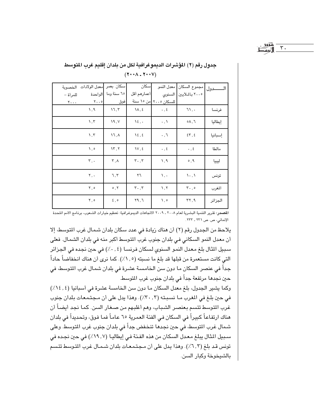$\mathbf{r}$  .

|                                | معدل الولادات الخصوبة     | سكان بعمر                   | اسكان                         |                         |                                |         |
|--------------------------------|---------------------------|-----------------------------|-------------------------------|-------------------------|--------------------------------|---------|
| للمرأة –                       | الواحدة                   | ٦٥ سنة وما                  | أعمارهم أقل                   |                         | ٢٠٠٥ بالملايين   السنوى        |         |
| $\mathbf{y} \cdot \cdot \cdot$ | $Y \cdot . 0$             | فوق                         |                               | للسكان ٢٠٠٥ من ١٥ سنة   |                                |         |
|                                | $\lambda, \gamma$         | 17,7                        | $\Lambda$ , {                 | $\cdot$ , $\epsilon$    | 71,                            | فرنسا   |
|                                | $\lambda, \tau$           | 19, V                       | $\mathcal{N}$ .               | $\cdot$ , $\lambda$     | ۸,٦                            | إيطاليا |
|                                | $\lambda, \lambda$        | 17, A                       | $\mathcal{N}\xi$ , $\xi$      | $\cdot$ , $\mathcal{J}$ | $\S 7, 8$                      | إسبانيا |
|                                | ه, ۱                      | $\mathcal{N}, \mathcal{N}$  | $\mathcal{W}, \mathcal{E}$    | $\cdot$ , $\xi$         | $\cdot$ , $\epsilon$           | مالطا   |
|                                | $\mathbf{r}$ ,.           | $\mathbf{r}$ , $\mathbf{r}$ | $\mathbf{r}$ . $\mathbf{r}$   | $\lambda, \lambda$      | $\circ$ , 9                    | ليبيا   |
|                                | ۲, ۰                      | ٦,٢                         | ٢٦                            | ١,٠                     | $\langle \cdot, \cdot \rangle$ | تونس    |
|                                | $\mathsf{Y}$ , o          | $\circ$ , $\circ$           | $\mathbf{r} \cdot \mathbf{r}$ | $\lambda, \lambda$      | $\mathbf{r}$ ., $\circ$        | المغرب  |
|                                | $\mathbf Y$ , $\mathbf o$ | $\epsilon$ , $\circ$        | Y9,7                          | ۰, ۰                    | YY, 9                          | الجزائر |

## جدول رقم (٢) المؤشرات الديموغرافية لكل من يلدان إقليم غرب المتوسط  $(Y \cdot \cdot \wedge - Y \cdot \cdot V)$

المصدر: تقرير التنمية البشرية لعام ٢٠٠٨ ـ ٢٠٠٩ الاتجاهات الديموغرافية: تعظيم خيارات الشعوب، برنامج الأمم التحدة الإنمائي، ص. ص ٢٣١ ـ ٢٣٣.

يلاحظ من الجدول رقم (٢) أن هناك زيادة في عدد سكان بلدان شمال غرب المتوسط، إلا أن معدل النمو السكاني في بلدان جنوب غرب المتوسط أكبر منه في بلدان الشمال. فعلي سبيل الثال بلغ معدل النمو السنوى لسكان فرنسا (٠,٤٪) في حين نجده في الجزائر التي كانت مستعمرة من قبلها قد بلغ ما نسبته (١, ١٪). كما نرى أن هناك انخفاضاً حاداً جداً في عنصر السكان ما دون سن الخامسة عشرة في بلدان شمال غرب التوسط، في حين نجدها مرتفعة جداً في بلدان جنوب غرب المتوسط.

وكما يشير الجدول، بلغ معدل السكان ما دون سن الخامسة عشرة في أسبانيا (٤,٤٪) في حين بلغ في المغرب ما نسبته (٢٠٠,٢). وهذا يدل على أن مجتمعات بلدان جنوب غرب المتوسط تتسم بعنصر الشباب، وهم أغلبهم من صغار السن. كما نجد أيضاً أن هناك ارتفاعاً كبيراً في السكان في الفئة العمرية ٦٥ عاماً فما فوق، وتحديداً في بلدان شمال غرب المتوسط، في حين نجدها تنخفض جداً في بلدان جنوب غرب المتوسط. وعلى سبيل المثال يبلغ معدل السكان من هذه الفئة في إيطاليا (١٩.٧٪) في حين نجده في تونس قد بلغ (٦,٣٪). وهذا يدل على أن مجتمعات بلدان شمـال غرب المتوسط تتسم بالشيخوخة وكبار السن.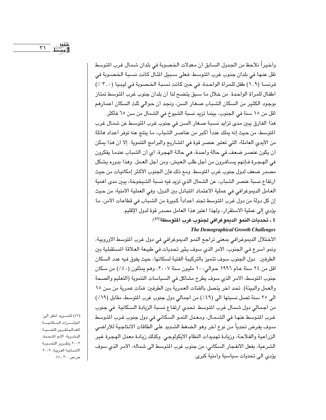وأخيراً نلاحظ من الجدول السابق أن معدلات الخصوبة في بلدان شمال غرب التوسط تقل عنها في بلدان جنوب غرب المتوسط. فعلى سـبيل الشال كانت نسـبـة الـخصـوبة فى فرنسا (١,٩) طفل للمرأة الواحدة، في حين كانت نسبة الخصوبة في ليبيا (٣,٠) ٪) أطفال للمرأة الواحدة. من خلال ما سبق يتضح لنا أن بلدان جنوب غرب التوسط تمتاز بوجود الكثير من السكان الشباب صغار السن، ونجد أن حوالي ثلث السكان أعمارهم

أقل من ١٥ سنة في الجنوب، بينما تزيد نسبة الشيوخ في الشمال من سن ٦٥ فأكثر. هذا الفارق يبين مدى تزايد نسبة صـغار السـن فى جنوب غرب التوسـط عن شمـال غرب المتوسط، من حيث إنه يملك عدداً أكبر من عناصـر الشباب، مـا ينتج عنه توفر أعداد هائلة من الأيدي العاملة، التي تعتبر عنصر قوة في المشاريع والبرامج التنموية. إلا أن هذا يمكن أن يكون عنصر ضعف في حالة واحدة، هي حالة الهجرة، أي أن الشباب عندما يفكرون في الهجرة فإنهم يسـافـرون من أجل طلب الـعيش، ومن أجل العـمل. وهذا بدوره يشكل مصدر ضعف لدول جنوب غرب المتوسط. ومع ذلك فإن الجنوب الأكثر إمكانيات من حيث ارتفاع نسبة عنصر الشباب، عن الشمال الذي تزيد فيه نسبة الشيخوخة، يبين مدى أهمية العامل الديموغرافي في عملية الاعتماد المتبادل بين الدول، وفي العملية الأمنية، من حيث إن كل دولة من دول غرب المتوسط تجند أعداداً كبيرة من الشباب في قطاعات الأمن، ما يؤدي إلى عملية الاستقرار، ولهذا اعتبر هذا العامل مصدر قوة لدول الإقليم. ٤ ـ تحديات النمو الديموغرافي لجنوب غرب المتوسطة(٤٧):

#### **The Demographical Growth Challenges**

الاختلال الديموغرافي بمعنى تراجع النمو الديموغرافي في دول غرب المتوسط الاوروبية، ونمو أسرع في الجنوب، الامر الذي سوف يثير تحديات في طبيعة العلاقة المستقبلية بين الطرفين. دول الجنوب سوف تتميز بالتركيبة الفتية لسكانها، حيث يفوق فيه عدد السكان اقل من ٢٤ سنة عـام ١٩٩٦ حـوالي١٠٠ مليون سنة ٢٠٠٧، وهم يمثلون (٤٠٪) من سكان جنوب المتوسط، الامر الذي سوف يطرح مشاكل في السياسات التنموية (التعليم والصحة والعمل والبيئة). تحد أخر يتصل بالفئات العمرية بين الطرفين: فئات عمرية من سن ١٥ الى ٢٥ سنة تصل نسبتها الى (٤٩٪) من اجمالي دول جنوب غرب المتوسط، مقابل (١٩٪) من اجمالي دول شمال غرب المتوسط. تحدي ارتفاع نسبة الزيادة السكانية في جنوب غرب المتوسط عنهـا في الشـمـال، ومـعـدل النمـو السكاني في دول جنوب غـرب المتوسط سوف يفرض تحدياً من نوع أخر وهو الضغط الشديد على الطاقات الانتاجية للأراضي الزراعية والفلاحة، وزيادة تهديدات النظام الايكولوجي. وكذلك زيادة معدل الهجرة غير الشرعية، بفعل الانفجار السكاني، من جنوب غرب المتوسط الى شماله، الأمر الذي سوف يؤدي الى تحديات سياسية وأمنية كبرى.

(٤٧) للمــزيد أنظر الي: المؤشسرات السكانيسة للعالم تقرير التنمية البشرية، الامم المتحدة، ٢٠٠٢ وتقـرير التنمـيــة الانسانية العربية، ٢٠٠٩ ص.ص. ٣٠ ـ ٤٥.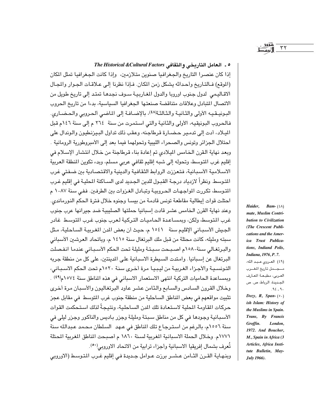#### 0 ـ العامل التاريخي والثقافي The Historical &Cultural Factors

إذا كان عنصرا التاريخ والجغرافيا صنوين متلازمين، وإذا كانت الجغرافيا تمثل المكان (الموقع) فـالتـاريخ وأحـداثه يشكل زمن المكان. فـإذا نظرنا إلـى عـلاقـات الجـوار والمجـال الاقـاليـمي لدول جنوب اوروبا والدول المغـاريـيـة سـوف نجدهـا تمتـد إلى تاريخ طويل من الاتصال المتبادل وعلاقات متناقضة صنعتها الجغرافيا السياسية، بدءا من تاريخ الحروب البونيـقيـه الأولى والثـانيـة والثـالثـة(٤٨)، بالإضـافـة إلى الماضـي ألحـروبي والحـضـاري. فالحروب البونيقيه، الأولى والثانية والتي استمرت من سنة ٢٦٤ م إلى سنة ١٤٦م قبل الليلاد، أدت إلى تدمير حضبارة قرطاجنه، وعقب ذلك تداول البيزنطيون والوندال على احتلال الجزائر وتونس والصحراء الليبية وتحولهما فيما بعد إلى الأمبروطورية الرومانية . وبعد نهاية القرن الخامس الميلادي تم إعادة بناء قرطاجنة من خلال انتشار الإسلام في إقليم غرب المتوسط، وتحوله إلى شبه إقليم ثقافي عربي مسلم، وبدء تكوين المنطقة العربية الاسلامية الأسبانية، فتعززت الروابط الثقافية والدينية والاقتصادية بين ضفتي غرب المتوسط. ونظراً لازدياد درجـة القبـول للدين الجـديد لدى الســاكنة المحليـة في إقليم غـرب المتوسط، تكررت المواجهات الحروبية وتبادل الغزوات بين الطرفين. ففي سنة ١٠٨٧ م احتلت قوات إيطالية مقاطعة تونس قادمة من بيسـا وجنوه خلال فترة الحكم النورماندي. وعند نهاية القرن الخامس عشر قادت إسبانيا حملتها الصليبية ضد جيرانها عرب جنوب غرب المتوسط، ولكن، ويمساعدة الحاميات التركية لعرب جنوب غرب التوسط غادر الجيش الأسباني الإقليم سنة ١٥٤١ م، حيث أن بعض المدن المغربية الساحلية، مثل سبته ومليله، كانت محتلة من قبل ملك البرتغال سنة ١٤١٥ م، وباتحاد العرشين الأسباني والبرتغالي سنة١٥٨٠م اصبحت سبتة ومليلة تحت الحكم الأسباني عندما انفصلت البرتغال عن إسبانيا. وامتدت السيطرة الاسبانية على الدينتين، على كل من منطقة جربه التونسية والأجزاء الغربية من ليبيا مرة أخرى سنة ١٥٢٠م تحت الحكم الاسباني، وبمساعدة الحاميات التركية انتهى الاستعمار الاسباني في هذه المناطق سنة ١٥٧٤م(٤٩) . وخلال القرون السادس والسابع والثامن عشر عاود البرتغاليون والأسبان مرة أخرى تثبيت مواقعهم في بعض المناطق الساحلية من منطقة جنوب غرب المتوسط في مقابل عجز حركات القاومة المطية لاستعادة تلك الدن الساحلية، ونتيجةً لذلك استحكمت القوات الأسبانية وجودها في كل من مناطق سبتة ومليلة وجزر باديس والناكور وجزر ليلي في سنة ١٥٥٦م، بالرغم من استرجاع تلك المناطق في عـهد السلطان محمد عـبدالله سنة ١٧٧١م. وخلال الحملة الاسبانية المغربية لسنة ١٨٦٠ م أصبحت الماطق المغربية المحتلة تَعرف بشمال إفريقيا الاسبانية وأجزاء ترابية من الاتحاد الاوروبي(٥٠).

Haider, Bam- $(3\lambda)$ mate, Muslim Contribution to Civilization (The Crescent Publications and the America Trust Publications, Indiand Polis, Indiana, 1976, P.7. (٤٩) العروى عبد الله، مسجسمل تاريخ المغسرب العربي، مطبعة المعارف الجديدة، الرباط، ص. ص  $\mathcal{A}\xi$  ,  $\mathcal{A}$  .

 $\tau\tau$ 

Dozy, R, Span- $(0.)$ ish Islam: History of the Muslims in Spain. Trans, By Francis Groffin. London, 1972. And Boucher, M., Spain in Africa (3 Articles, Africa Institute Bulletin, May-**July 1966).** 

وبنهاية القـرن الثـامن عـشـر برزت عـوامل جـديدة فـى إقليم غـرب المتوسط (الاوروبي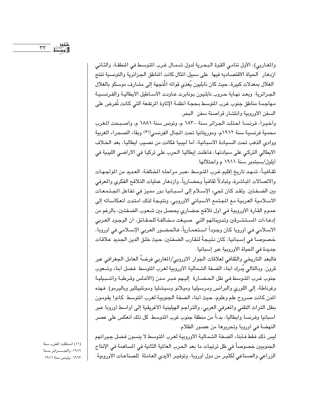والمغاربي)، الأول تنامي القوة البحرية لدول شـمـال غـرب المتوسط في المنطقـة، والثـاني ازدهار الحياة الأقتصاديه فيها على سبيل الثال كانت الناطق الجزائرية والتونسية تنتج الغلال بمعدلات كبيرة، حيث كان نابليون يُغذى قواته الْمُتجهة إلى مشارف موسكو بالغلال الجزائرية. وبعد نهاية حروب نابليون بونابرت عاودت الأساطيل الايطالية والفرنسية مهاجمة مناطق جنوب غرب المتوسط بحجة أنظمة الإتاوة المرتفعة التي كانت تُفرض على السفن الأوروبية وانتشار قراصنة سفن البحر.

وأخيرا، فرنسا احتلت الجزائر سنة ١٨٣٠ م، وتونس سنة ١٨٨١ م، وأصبحت المغرب محمية فرنسية سنة ١٩١٢م، وموريتانيا تحت المجال الفرنسي(٥١) وبقاء الصحراء الغربية ووادى الذهب تحت السيادة الاسبانية، أما ليبيا فكانت من نصيب ايطاليا، بعد الخلاف الايطالي التركي على سيادتها، فأعلنت إيطاليا الحرب على تركيا في الأراضي الليبية في أيلول/سبتمبر سنة ١٩١١ م واحتلالها.

ثقـافـيـاً، شـهـد تاريخ إقليم غـرب المتـوسط ،عبـر مـراحلـه المختلفـة، العـديد من المواجـهـات والاتصالات المباشرة، وتبادلاً ثقافياً وحضارياً، وازدهار عمليات التلاقح الفكري والمعرفي بين الضـفـتين. ولقـد كان لجىء الإسـلام إلى اسـبـانيا دور مميز فى تفاعل المجتمعات الاسلامية العربية مع المجتمع الأسباني الأوروبي، ونتيجة لذلك امتدت انعكاساته إلى عموم القارة الأوروبية في أول تلاقح حضاري يحصل بين شعوب الضفتين، بالرغم من إدعاءات المستشرقين وتدويناتهم التى صيغت مخالفة للحقائق، أن الوجود العربي الاسـلامي في أوروبا كان وجوداً اسـتعمـارياً، فالحضـور العربي الإسـلامي في أوروبا، خصوصا في إسبانيا، كان نتيجةً لتقارب الضفتين، حيث خلق الدين الجديد علاقات جديدة في الحياة الأوروبية عبر إسبانيا.

فالبعد التاريخي والثقافي لعلاقات الجوار الاوروبي/المغاربي فرضهُ العامل الجغرافي عبر قرون. وبالتالي يُدرك أبناء الضفة الشمالية الاوروبية لغرب المتوسط فضل أبناء وشعوب جنوب غرب التوسط في نقل الحضارة إليهم عبر مدن (الأندلس وقرطبة واشبيلية وغرناطة، إلى اللوري والبرانس ومرسيليا وميلانو وسيشليا ومونتبيللير وباليرمو). فهذه المدن كانت صروح علم وعلوم، حيث أبناء الضفة الجنوبية لغرب المتوسط كانوا يقومون بنقل التراث التقني والمعرفي العربي، والتراجم الهيلينية الأغريقية إلى أواسط أوروبا عبر اسبانيا وفرنسا وايطاليا، بدءاً من منطقة جنوب غرب المتوسط. كل ذلك انعكس على عصر النهضة في أوروبا وتحريرها من عصور الظلام.

ليس ذلك فقط فأبناء الضفة الشمالية الاوروبية لغرب المتوسط لا ينسون فضل جيرانهم الجنوبيين خصوصاً في ظل ترتيبات ما بعد الحرب العالمة الثانية في الساهمة في الإنتاج الزراعي والصناعي لكثير من دول أوروبا، وتوفير الأيدي العاملة للصناعات الأوروبية.

(٥١) استقلت المغرب سنة ١٩٥٦، والجــــزائر سنة ١٩٦٣، وتونس سنة ١٩٥٦.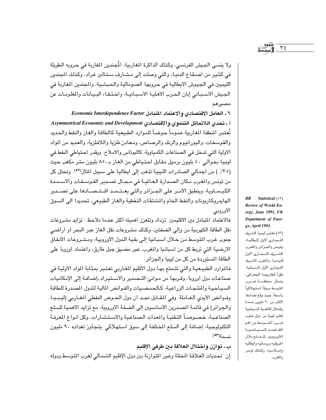ولا ينسي الجيش الفرنسي، وكذلك الذاكرة المغاربية، المُجندين المغارية في حروبه الطويلة في كثير من أصـقـاع الدنيـا، والتي وصلت إلى مـشـارف سـتـالين غراد، وكذلك المجندين الليبيين في الجيوش الايطالية في حروبها الصومالية والحبشية، والمجندين المغاربة في الجيش الأسباني إبان الحرب الأهلية الأسبانية، واختفاء البيانات والملومات عن مصيرهم.

٦ ـ العامل الاقتصادي والاعتماد المتبادل Economic Interdependence Factor أ ـ تحدى اللاتماثل التنموي والاقتصادي Asymmetrical Economic and Development تُعتبر المنطقة المغاربية عموماً حوضاً للموارد الطبيعية كالطاقة والغاز والنفط والحديد والفوسفات، واليورانيوم والزنك والرصاص، ومعادن فلزية واللافلزية، والعديد من المواد الاولية التي تدخل في الصناعات الكمباوية، كالبوتاس والأملاح. ويقدر احتياطي النفط في ليبيا بحوالي ٤٠ بليون برميل مقابل احتياطي من الغاز بـ٨٥٠ بليون متر مكعب حيث (٣٥/ ) من اجمالي الصادرات الليبية تذهب إلى ايطاليا على سبيل الثال(٥٢). وتحتل كل من تونس والمغرب مكان الصدارة العالية في مجال تصدير الفوسفات والاسمدة الكيـمـاوية، وينطبق الأمـر على الجـزائر والتي يعـتـمـد اقـتـصـادها على تصـدير الهايدروكاربونات والنفط الخام والمشتقات النفطية والغاز الطبيعي، تحديدا الى السوق الأوروبي.

فالاعتماد المتبادل بين الاقليمين تزداد وتتعزز أهميته أكثر عندما نلاحظ : تزايد مشروعات نقل الطاقة الكهربية من وإلى الضفتين، وكذلك مشروعات نقل الغاز عبر البحر أو أراضي جنوب غرب التوسط من خلال اسبانيا إلى بقية الدول الأوروبية، ومشروعات الأنفاق الارضية التي تربط كل من اسبانيا والمغرب، عبر مضيق جبل طارق، واعتماد اوروبا على الطاقة المستوردة من كل من ليبيا والجزائر.

فالموارد الطبيعية والتي تتمتع بها دول الاقليم المغاربي تعتبر بمثابة المواد الاولية في صناعات دول أوروبا، وقربها من موانئ التصدير والاستيراد راضافة إلى الإمكانيات السياحية والمنتجات الزراعية، كالحمضيات والفوائض المالية للدول المصدرة للطاقة وفـوائض الأيدي الـعـاملة. وفي المقـابل نجـد أن دول الحـوض النفطي المغـاربي (ليـبـيـا والجزائر) في قائمة المصدرين الأساسيين إلى الضفة الاوروبية، مع تزايد الاهمية للسلع الصناعية، خصـوصـاً التـقنيـة والمدات الـصناعيـة والاسـتـشـارات، وكل أنـواع المعرفـة التكنولوجية، إضافة إلى السلع المختلفة إلى سوق استهلاكي يتجاوز تعداده ٩٠ مليون  $\mathcal{L}^{(op)}$ 

ب ـ توازن واختلال العلاقة بين طرفي الاقليم

إن تحديات العلاقة المختلة وغير المتوازنة بين دول الإقليم الشمالي لغرب المتوسط ودوله

Review of World Energy, June 1991, UK Department of Energy, April 1991. (٥٣) تعتبر ليبيا الشريك التجارى الاول لإيطاليا، وتونس والجزائر والغرب الشريك التجارى الاول لفرنسا، والمغرب الشريك التجاري الاول لأسبانيا، نظراً لتقاربهما الجغرافي، وتمثل منطقسة غسرب التوسط سوقأ استهلاكيأ واسعاً، حيث يبلغ تعدادها لأكثر من ٩٠ مليون نسمة وكمثال للأهمية السياحية تعتبر ليبيا من دول جنوب غــرب المتـــوسط من اهم المقاصد السياحية للأوروبيين: تتحتم بآثار اغريقيه ورومانيه وايطاليه وإسلاميه، وكذلك تونس

والمغرب.

Statistical (٥٢)

 $BR$ 

 $\Upsilon$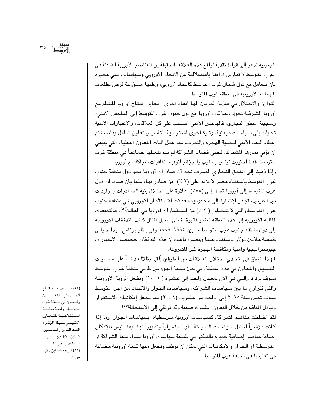الجنوبية تدعو إلى قراءة نقدية لواقع هذه العلاقة. الحقيقة إن العناصر الأوربية الفاعلة في غرب المتوسط لا تمارس أداءها باستقلالية عن الاتحاد الأوروبي وسياساته، فهي مجبرة بأن تتعامل مع دول شمال غرب المتوسط كاتحاد أوروبي، وعليها مسؤولية فرض تطلعات الجماعة الأوروبية في منطقة غرب المتوسط.

التوازن والاختلال في علاقة الطرفين لها ابعاد اخرى. مقابل انفتاح أوروبا المنتظم مع أوروبا الشرقية تحولت علاقات أوروبا مع دول جنوب غرب المتوسط إلى الهاجس الأمنى، وسجينة المنطق التجاري، فالهاجس الأمني انسحب على كل العلاقات، والاعتبارات الأمنية تحولت إلى سياسات مبدئية، وتارة أخرى اشتراطية لتأسيس تعاون شامل ودائم، فتم إعطاء البعد الأمنى لقضية الهجرة والتطرف، مما عطل أليات التعاون الفعلية، التي ينبغي أن تؤتي ثمارها الشترك. فحتى قضايا الشراكة لم يتم تفعيلها جماعياً في منطقة غرب المتوسط، فقط اختيرت تونس والمغرب والجزائر لتوقيع اتفاقيات شراكة مع أوروبا.

وإذا ذهبنا إلى المنطق التجاري الصرف نجد أن صادرات أوروبا نحو دول منطقة جنوب غرب المتوسط باستثناء مصر لا تزيد على (٢ ٪) من صادراتها، علما بأن صادرات دول غرب المتوسط إلى أوروبا تصل إلى (٧٥٪). علاوة على اختلال بنية الصادرات والواردات بين الطرفين، تجدر الإشارة إلى محدودية معدلات الاستثمار الأوروبي في منطقة جنوب غرب المتوسط والتي لا تتجـاوز ( ٢ ٪) من استثمارات أوروبا في العالم(٥٤). فالتدفقات المالية الأوروبية إلى هذه المنطقة تعتبر فقيرة، فعلى سبيل المثال كانت التدفقات الأوروبية إلى دول منطقة جنوب غرب المتوسط ما بين ١٩٩٤ـ ١٩٩٩ وفي إطار برنامج ميدا حوالي خمسة ملايين دولار باستثناء ليبيا ومصر، ناهيك إن هذه التدفقات خصصت لاعتبارات جيوستراتيجية وأمنية ومكافحة الهجرة غير الشروعة.

فهذا المنطق في تحدي اختلال العـلاقـات بين الطرفين يُلقى بظلالـه دائمـاً على مـسـارات التنسيق والتعاون في هذه المنطقة. في حين نسبة الهوة بين طرفي منطقة غرب التوسط سـوف تزداد والتي هي الآن بمعـدل واحـد إلى عشـرة ( ١٠ - ١) وبفـعل الرؤية الأوروبيـة والتي تتراوح ما بين سياسات الشراكة، وسياسات الجوار والاتحاد من أجل التوسط سوف تصل سنة ٢٠١٥ إلى واحد من عشرين (٢٠: ١) مما يجعل إمكانيات الاستقرار وتبادل المنافع من خلال التعاون المشترك صعبة وقد ترتقي إلى الاستحالة(00).

لقد اختلطت مفاهيم الشراكة، كسياسات أوروبية متوسطية، بسياسات الجوار، وما إذا كانت مؤشراً لفشل سياسات الشراكة، أو استمراراً وتطويراً لها. وهنا ليس بالإمكان إضافة عناصر إضافية جديرة بالتفكير في طبيعة سياسات أوروبا سواء منها الشراكة أو المتوسطية أو الجوار والإمكانيات التي يمكن أن توظف وتجعل منها قيمة أوروبية مضافة في تعاونها في منطقة غرب المتوسط.

(٥٤) مـيـلاد مـفـتـاح الحـــراثى، التنســــيق والتعاون في منطقة غرب التوسط دراسة تحليلية استطلاعية للتعاون الاقليــمى،مــجلة المؤتمر ( العدد الثامن والخمسون، كانون الأول/ديسمبر، ٢٠٠٦ ف) ص ٢٣. (٥٥) المرجع السابق ذكره، ص ٢٣.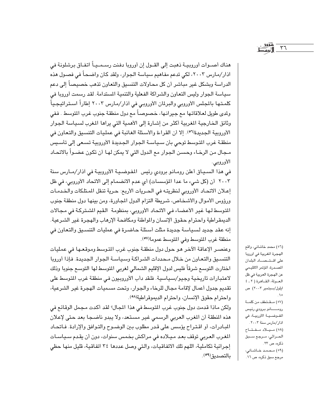هناك أصــوات أوروبيــة ذهبت إلى القــول إن أوروبا دفنت رسـمــيــاً اتفـاق برشلونـة في اذار/مارس ٢٠٠٢، لكي تدعم مفاهيم سياسة الجوار، ولقد كان واضحاً في فصول هذه الدراسة وبشكل غير مباشر أن كل محاولات التنسيق والتعاون تذهب خصيصاً إلى دعم سياسة الجوار وليس التعاون والشراكة الفعلية والتنمية المستدامة. لقد رسمت أوروبا في كلمـتـهـا بالمجلس الأوروبي والبرلمان الأوروبـي في آذار/مـارس ٢٠٠٣ إطاراً اسـتراتيـجـياً ولدى طويل لعلاقاتها مع جيرانـها، خصـوصـاً مـع دول منطقـة جنوب غرب المتوسط . فـفي وثائق الخارجية المغربية أكثر من إشارة إلى الأهمية التي يراها المغرب لسياسة الجوار الأوروبية الجديدة(٥٦). إلا أن القراءة والأسئلة الغائبة في عمليات التنسيق والتعاون في منطقة غرب المتوسط توحى بأن سياسة الجوار الجديدة الأوروبية تسعى إلى تأسيس مـجال من الرخـاء وحسـن الجـوار مـع الدول التي لا يمكن لهـا أن تكون عضـواً بالاتحـاد الأوروبي.

في هذا السبياق أعلن رومـانو برودي رئيس المفـوضـيـة الأوروبيـة في آذار/مـارس سنة ٢٠٠٣ أن (كل شيء ما عدا المؤسسات) أي عدم الانضمام إلى الاتحاد الأوروبي، في ظل إعـلان الاتحـاد الأوروبي لنظريتـه في الحـريات الأربـع: حـرية تنقل المـتلكات والخـدمـات ورؤوس الأموال والأشخاص، شريطة التزام الدول المجاورة، ومن بينها دول منطقة جنوب المتوسط لها غير الأعضاء في الاتحاد الأوروبي، بمنظومة القيم الشتركة في مجالات الديمقراطية واحترام حقوق الإنسان والمواطنة ومكافحة الإرهاب والهجرة غير الشرعية. إنه عقد جديد لسياسة جديدة مثلت أسئلة حاضرة في عمليات التنسيق والتعاون في منطقة غرب المتوسط وفي المتوسط عموما(٥٧).

وعنصـر الإعاقة الآخر هو حول دول منطقـة جنوب غرب المتوسط وموقعـها في عمليات التنسيق والتعاون من خلال محددات الشراكة وسياسة الجوار الجديدة. فإذا أوروبا اختارت التوسع شرقاً فليس لدول الإقليم الشمالي لغربي المتوسط لها التوسع جنوبا وذلك لاعتبارات تاريخية وجيو/سياسية. فلقد دأب الأوروبيون في منطقة غرب المتوسط على تقديم جدول أعمال لإقامة مجال للرخاء والجوار، وتحت مسميات الهجرة غير الشرعية، واحترام حقوق الإنسان، واحترام الديموقراطية(٥٨).

ولكن ماذا قدمت دول جنوب غرب المتوسط في هذا المجال؟ لقد أكدت مجمل الوقائع في هذه المنطقة أن المغرب العربي الرسمي غير مستعد، ولا يبدو ناضجا بعد حتى لإعلان المبادرات، أو اقتراح يؤسس على قدر مطلوب بين الوضـوح والتـوافق والإرادة. فـاتحـاد المغرب العربي توقف بعد ميلاده في مراكش بخمس سنوات، دون أن يقدم سياسات إجرائية تكاملية، اللهم تلك الاتفاقيات، والتي وصل عددها ٢٤ اتفاقية، قليل منها حظى بالتصديق(٥٩).

(٥٦) محمد خاشاني، واقع الهجرة المغربية في اوروبا على اقتصاد البلدان المصدرة، المؤتمر الاقليمي عن الهجرة العربية في ظل العولة، القاهرة ( ٢ ـ ٤ ايلول/سبتمبر ٢٠٠٢) ص  $\cdot$  \ o (٥٧) مقتطف من كلمة رومـــــانو برودي رئيس المفوضـيـة الأوربيــة، في اذار/مارس سنة ٢٠٠٣. (٥٨) ميلاد مفتاح الحــراثي، مــرجـع ســـبق ذكره، ص ٢٣. (٥٩) محمد خاشانی، مرجع سبق ذکرہ، ص ١٦.

 $\mathbf{r}$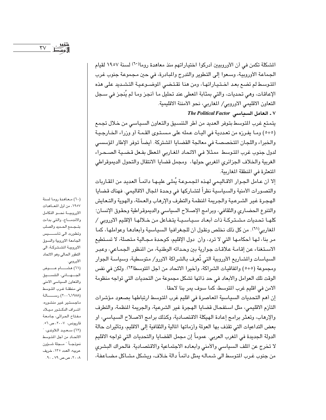المشكلة تكمن في أن الأوروبيين أدركوا اختياراتهم منذ معاهدة روما(٦٠) لسنة ١٩٥٧ لقيام الجماعة الأوروبية، وسعوا إلى التطوير والتدرج والمبادرة، في حين مجموعة جنوب غرب المتوسط لم تضع بعد اختياراتها، ومن هنا تقتضى الموضوعية التشديد على هذه الإعاقات، وهي تحديات، والتي بمثابة المعطي عند تحليل ما أنجز وما لم يُنجز في سـجل التعاون الاقليمي الاوروبي/ المغاربي، نحو الأمننة الاقليمية.

Y ـ العامل السياسي The Political Factor يتمتع غرب التوسط بتوفر العديد من أطر التنسيق والتعاون السياسي من خلال تجمع

(٥+٥) وما يفرزه من تعددية في أليات عمله على مستوى القمة أو وزراء الخارجية والخبراء واللجان المتخصصة في معالجة القضايا المشتركة. أيضاً توفر الإطار المؤسسي لدول جنوب غرب المتوسط ممثلا في الاتحاد المغاربي المعطل بفعل قضية الصحراء الغربية والخلاف الجزائري المغربي حولها، ومجمل قضايا الانتقال والتحول الديموقراطي المتعثرة في المنطقة المغاربية.

إلا أن عـامل الجـوار الاقـاليمي لهـذه المجمـوعـة يُملـى عليـهـا دائمـاً العديد من المقـاربات والتصورات الأمنية والسياسية نظراً لتشاركها في وحدة المجال الاقاليمي. فهناك قضايا الهجرة غير الشرعية والجريمة المنظمة والتطرف والإرهاب والعملة، والهوية والتعايش والتنوع الحضاري والثقافي، وبرامج الإصلاح السياسي والديموقراطية وحقوق الإنسان؛ كلهـا تحديات مشـتـركـة ذات أبعـاد سـيـاسـيـة يتـفـاعل من خـلالهـا الإقليم الاوروبي / المغاربي(٦١). من كل ذلك نخلص ونقول أن للجغرافيا السياسية وأبعادها وعواملها، كما مر بنا، لها أحكامها التي لا ترد، وأن دول الإقليم، كوحدة مجالية متصلة، لا تستطيع الاستغناء عن إقامة علاقات جوارية بين وحداته الوطنية، من المنظور الجماعي، وعبر السياسات والمشاريع الأوروبية التي تُعرف بالشراكة الاورو/ متوسطية، وسياسة الجوار ومجموعة (٥+٥) واتفاقيات الشراكة، وأخيرا الاتحاد من أجل المتوسط(٦٢). ولكن في نفس الوقت تلك العوامل والأبعاد في حد ذاتها تشكل مجموعة من التحديات التي تواجه منظومة الامن في اقليم غرب المتوسط، كما سوف يمر بنا لاحقا.

إن أهم التحديات السياسية المعاصرة في اقليم غرب المتوسط ارتباطها بصعود مؤشرات التأزم الاقليمي، مثل استفحال قضايا الهجرة غير الشرعية، والجريمة المنظمة، والتطرف والإرهاب، وتعثَّر برامج إعادة الهيكلة الاقتصادية، وكذلك برامج الاصـلاح السـياسـي، او بعض التداعيات التي تقذف بها العولمة وأزماتها المالية والثقافية إلى الاقليم، وتأثيرات حالة الدولة الجديدة في المغرب العربي. عموماً إن مجمل القضايا والتحديات التي تواجه الاقليم لا تخرج عن الملف السياسي والأمنى وأبعاده الاجتماعية والاقتصادية. فالحراك البشري من جنوب غـرب المتوسط الى شـمـالـه يمثل دائمـاً دالـة خـلاف، ويشكل مشـاكل مـضـاعـفـة،

(٦٠) معاهدة روما لسنة ١٩٥٧، من أول المعاهدات الاوروبية نحو التكامل والاندمــاج، والتي بداءت بتجمع الحديد والصلب وتطورت الى تأســـــيس الجامعة الاوروبية والسوق الاوروبية المشتركة، الى التطور الحالى وهو الاتحاد الأوروبي.

(٦١) هشسام عسوض الجهانى، التنسيق والتعاون السياسي الامنى في منطقة غرب المتوسط (٢٠٠٦-٢٠١٩٨٨) رســـــالـة ماجستير غير منشوره، اشراف الدكتور ميلاد مفتاح الحراثي، جامعة قاریونس، ۲۰۰۷، ص ۵٦. (٦٢) سعيد اللأوندي، الاتحاد من أجل المتوسط نموذجــاً "مــجلة شــؤون عربيه، العدد ١٣٥، خريف ،۲۰۰۸، ص.ص ۷۹ ـ ۹۰.

 $\mathsf{r}\mathsf{v}$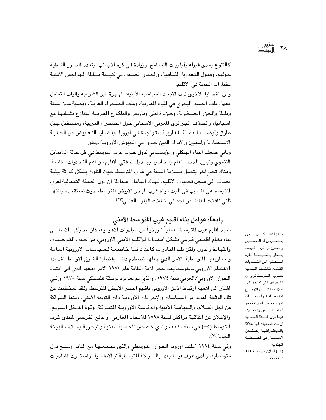كالتنوع ومدى قبوله وأولويات التسامح، وزيادة في كره الاجانب، وتعدد الصور النمطية حولهم، وقبول التعددية الثقافية، والخيار الصعب في كيفية مقابلة الهواجس الأمنية بخيارات التنمية في الاقليم.

ومن القضايا الاخرى ذات الابعاد السياسية الأمنية: الهجرة غير الشرعية وأليات التعامل معها، ملف الصيد البحري في المياه المغاربية، وملف الصحراء الغربية، وقضية مدن سبتة ومليلة والجزر الصخرية، وجزيرة ليلي وباريس والناكوع المغربية المتنازع بشـأنهـا مع اسبانيا، والخلاف الجزائري المغربي الاسباني حول الصحراء الغربية، ومستقبل جبل طارق وأوضاع العمالة المغاربية المتواجدة فى اوروبا، وقضايا التعويض عن الحقبة الاستعمارية والمنفيين والأفراد الذين جندوا في الجيوش الاوروبية وقتلوا.

ويأتي ضعف البناء الهيكلي والمؤسساتي لدول جنوب غرب المتوسط في ظل حالة اللاتماثل التنموي وتباين الدخل العام والخاص، بين دول ضفتي الاقليم من اهم التحديات القائمة. وهناك تحد أخر يتصل بسلامة البيئة في غرب المتوسط، حيث التلوث يشكل كارثة بيئية تضاف الى سجل تحديات الاقليم. فهناك اتهامات متبادلة أن دول الضفة الشمالية لغرب المتوسط هي المُسبب في تلوث مياه غرب البحر الابيض المتوسط، حيث تستقبل موانئها ثلثي ناقلات النفط من اجمالي ناقلات الوقود العالمي (٦٣).

# رابعاً: عوامل بناء اقليم غرب المتوسط الأمنى

شهد اقليم غرب المتوسط معماراً تاريخياً من المبادرات الاقليمية، كان محركها الاساسى بناء نظام اقليمي فـرعى يشكل امـتـدادا للإقليم الأمنى الاوروبي، من حـيث التـوجـهـات والقيادة والدور. ولكن تلك المبادرات كانت دائمـا خاضـعـة للسـيـاسـات الاوروبيـة العـامـة ومشاريعها المتوسطية، الامر الذي جعلها تصطدم دائما بقضايا الشرق الاوسط لقد بدأ الاهتمام الأوروبي بالمتوسط بعد تفجر ازمة الطاقة عام ١٩٧٣ الامر دفعها الذي الى انشاء الحوار الأوروبي/العربي سنة ١٩٧٤، والذي تم تعزيزه بوثيقة هلسنكي سنة ١٩٧٥ والتي اشار الى اهمية ارتباط الامن الاوروبي بإقليم البحر الابيض المتوسط ولقد تمخضت عن تلك الوثيقة العديد من السياسات والإجراءات الاوروبية ذات التوجه الأمنى، ومنها الشراكة من اجل السـلام، والسياسة الأمنية والدفـاعية الاوروبيـة الشـتركة، وقوة التدخل السـريـع، والإعلان عن اتفاقية مراكش لسنة ١٨٩٨ للاتحاد المغاربي، والدفع الفرنسي لمنتدى غرب المتوسط (٥+) في سنة ١٩٩٠، والذي خصص للحماية الدنية والبحرية وسلامة البيئة الدومة(٢٤).

وفي سنة ١٩٩٤ أعلنت اوروبا الحـوار المتـوسطى والذي يجـمـعــهـا مـع الناتو وسـبـع دول متوسطية، والذي عرف فيما بعد بالشراكة المتوسطية / الاطلسية. واستمرت المبادرات

(٦٣) الاشكال الني يتسعسرض له التنسسيق والتعاون في غرب المتوسط يتحلق بطبييعة نظره الضفتين الى التحديات القائمه، فالضفة الجنوبيه لغرب المتوسط ترى ان التحديات التى تواجها لها علاقة بالتنمية والأوضاع الاقتصاديه والسياسات الاوروبيه غير المتوازنة نحو أليات التنسيق والتعاون، فيما ترى الضفة الشماليه ان تلك التحديات لها علاقة بالديمقراطية وحقوق الانسسان في الضفة الجنوبيه. (٦٤) اعلان مجموعة ٥+٥ لسنة ١٩٩٠.

 $\mathsf{r}\wedge$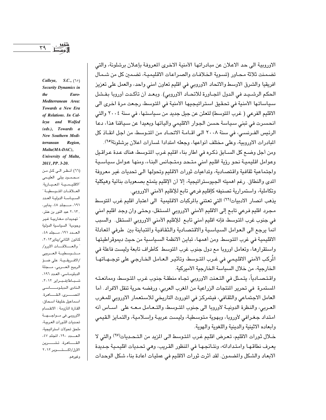الاوروبية الى حد الاعلان عن مبادراتها الأمنية الاخرى المعروفة بإعلان برشلونة، والتي تضمنت ثلاثة محاور (تسوية الخلافات والصراعات الاقليمية، تضمين كل من شمال افريقيا والشرق الاوسط والاتحاد الاوروبي في اقليم تعاون امني واحد، والعمل على تعزيز الحكم الرشـيد في الدول المجـاورة للاتحـاد الاوروبي). وبعـد أن تأكـدت أوروبا بفـشل سياساتها الأمنية في تحقيق استراتيجيها الأمنية في التوسط، رجعت مرة اخرى الى الاقليم الفرعي ( غرب المتوسط) لتعلن عن جيل جديد من سياستها، في سنة ٢٠٠٤ والتي انحسرت في تبني سياسة حسن الجوار الاقليمي وآلياتها وبعيدا عن سياقنا هذا، دعا الرئيس الفـرنسـى، في سنة ٢٠٠٨ الـى اقـامـة الاتحـاد من المتـوسط، من اجل انقـاذ كل المبادرات الاوروبية، وعلى مختلف أنواعها، وجعله امتدادا لمسارات اعلان برشلونة(٢٥).

ومن أجل وضع كل السـابق ذكـره في اطار بناء اقليم غـرب المتوسط، هناك عـدة عـراقـيل وعوامل اقليمية نحو رؤية اقليم امنى متحد ومتجانس البناء، ومنها عوامل سياسية واجتماعية ثقافية واقتصادية، وتداعيات ثورات الاقليم وتحولها الى تحديات غير معروفة الدي والنطاق. رغم اهميته الجيوستراتيجية، إلا أن الإقليم يتمتع بصعوبات بنائية وهيكلية وتكاملية، واستمرارية تصنيفه كإقليم فرعى تابع للإقليم الأمنى الاوروبي.

يذهب انصار الادبيات(٦٦) التي تعتني بالركبات الاقليمية الى اعتبار اقليم غرب المتوسط مجرد اقليم فرعي تابع إلى الاقليم الأمني الاوروبي المستقل، وحتى وان وجد اقليم امنى في جنوب غرب المتوسط، فإنه اقليم أمني تابع للإقليم الأمني الاوروبي المستقل. والسبب انما يرجع الى العوامل السياسية والاقتصادية والثقافية والمتباينة بين طرفي المعادلة الاقليمية في غرب المتوسط. ومن أهمها، تباين الانظمة السياسية من حيث ديموقراطيتها واستقرارها، وتعامل اوروبا مع دول جنوب غرب المتوسط كأطراف تابعة وليست فاعلة في الْمركب الأمني الاقليمي في غـرب المتـوسط، وتأثيـر الـعـامل الـخـارجـي على توجــهــاتهـا الخارجية، من خلال السياسة الخارجية الأميركية.

واقتصـادياً، يتـمـثل في التـعنت الاوروبي تجـاه منطقـة جنوب غـرب المتوسط، وممانعـتـه المستمرة في تحرير المنتجات الزراعية من المغرب العربي، ورفضه حرية تنقل الافراد. أما العامل الاجتماعي والثقافي، فيتمركز في الموروث التاريخي للاستعمار الاوروبي للمغرب العـربي، والنظرة الدونيــة لأوروبا الى جنوب المتـوسط، والتـعـامل مـعـه على اســاس أنه امتداد جغرافي لأوروبا، وبهوية متوسطية، وليست عربية وإسلامية، والتمايز القيمي وأبعاده الاثينية والدينية واللغوية والهوية.

خلال ثورات الاقليم، تعرض اقليم غرب المتوسط الى المزيد من التحديات(٦٧) والتي لا يعرف نطاقها وامتداداته، ونتائجها في المنظور القريب، وهي تحديات اقليمية جديدة الابعاد والشكل والمضمون. لقد أثرت ثورات الاقليم في عمليات اعادة بناء شكل الوحدات

Calleya, S.C.,  $(10)$ Security Dynamics in <sub>the</sub> Euro-Mediterranean Area: Towards a New Era of Relations. In Calleya and Wolfed (eds.), Towards a New Southern Mediterranean Region, Malta(MA-DAC), University of Malta, 2011, PP. 3-20.

(٦٦) أنظر الى كل من :محمود ببلی العلیمی الاقليمية المعيارية: العلاقات المتوسطية " السياسة الدولية العدد ١٩١، مــجلد ٤٨، يناير، , ٢٠١٣ عبد النور بن عنتر، " تهديدات مغاربية غير وجودية" السياسية الدولية العدد ١٩١، مجلد ٤٨، كانون الثاني/يناير١٢٠١٢، " والعسلاقات الاورو/ متوسطية العربيى /الافريقية: على ضؤ الربيع العسربي، مسجلة الدبلوماسي، العدد ١٩٦، شباط/فبراير ٢٠١٢، النادى الدبلومساسى المصرى، القامرة. اسماعيل خليفة اسحاق، القارة المأزومة : الانقسام الاوروبي في مسواجسهــة تحديات الثورات العربية، ملحق تحولات استراتيجية، العسدد ١٩٠، المجلد ٤٧، القـــاهرة، تشــــرين الأول/اكتوبر ٢٠١٢ وغيرهم.